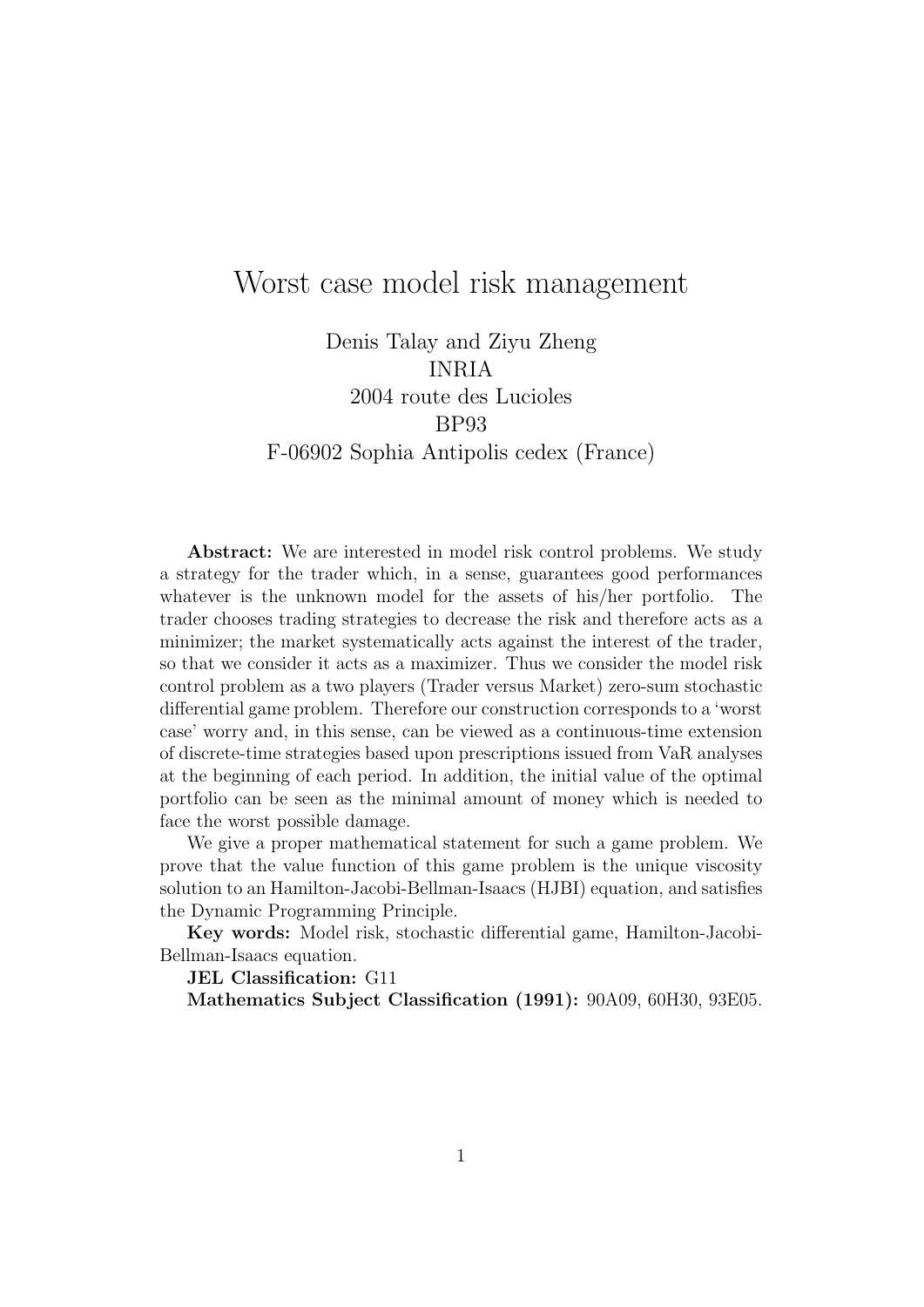# Worst case model risk management

Denis Talay and Ziyu Zheng INRIA 2004 route des Lucioles BP93 F-06902 Sophia Antipolis cedex (France)

Abstract: We are interested in model risk control problems. We study a strategy for the trader which, in a sense, guarantees good performances whatever is the unknown model for the assets of his/her portfolio. The trader chooses trading strategies to decrease the risk and therefore acts as a minimizer; the market systematically acts against the interest of the trader, so that we consider it acts as a maximizer. Thus we consider the model risk control problem as a two players (Trader versus Market) zero-sum stochastic differential game problem. Therefore our construction corresponds to a 'worst case' worry and, in this sense, can be viewed as a continuous-time extension of discrete-time strategies based upon prescriptions issued from VaR analyses at the beginning of each period. In addition, the initial value of the optimal portfolio can be seen as the minimal amount of money which is needed to face the worst possible damage.

We give a proper mathematical statement for such a game problem. We prove that the value function of this game problem is the unique viscosity solution to an Hamilton-Jacobi-Bellman-Isaacs (HJBI) equation, and satisfies the Dynamic Programming Principle.

Key words: Model risk, stochastic differential game, Hamilton-Jacobi-Bellman-Isaacs equation.

JEL Classification: G11

Mathematics Subject Classification (1991): 90A09, 60H30, 93E05.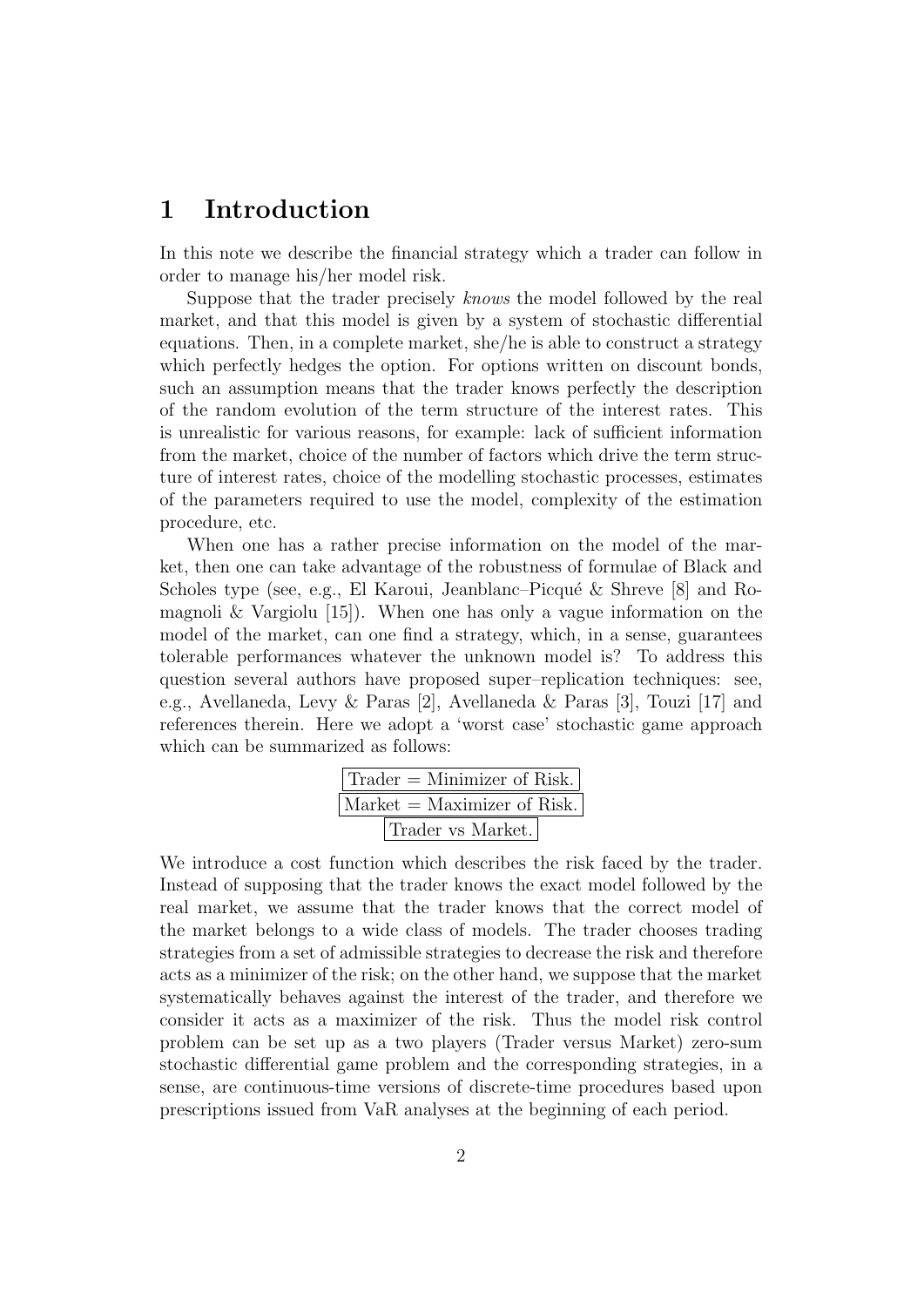## 1 Introduction

In this note we describe the financial strategy which a trader can follow in order to manage his/her model risk.

Suppose that the trader precisely knows the model followed by the real market, and that this model is given by a system of stochastic differential equations. Then, in a complete market, she/he is able to construct a strategy which perfectly hedges the option. For options written on discount bonds, such an assumption means that the trader knows perfectly the description of the random evolution of the term structure of the interest rates. This is unrealistic for various reasons, for example: lack of sufficient information from the market, choice of the number of factors which drive the term structure of interest rates, choice of the modelling stochastic processes, estimates of the parameters required to use the model, complexity of the estimation procedure, etc.

When one has a rather precise information on the model of the market, then one can take advantage of the robustness of formulae of Black and Scholes type (see, e.g., El Karoui, Jeanblanc–Picqué & Shreve [8] and Romagnoli & Vargiolu  $[15]$ . When one has only a vague information on the model of the market, can one find a strategy, which, in a sense, guarantees tolerable performances whatever the unknown model is? To address this question several authors have proposed super–replication techniques: see, e.g., Avellaneda, Levy & Paras [2], Avellaneda & Paras [3], Touzi [17] and references therein. Here we adopt a 'worst case' stochastic game approach which can be summarized as follows:

| $\text{Trader} = \text{Minimizer of Risk.}$ |
|---------------------------------------------|
| $\text{Market} = \text{Maximizer of Risk.}$ |
| Trader vs Market.                           |

We introduce a cost function which describes the risk faced by the trader. Instead of supposing that the trader knows the exact model followed by the real market, we assume that the trader knows that the correct model of the market belongs to a wide class of models. The trader chooses trading strategies from a set of admissible strategies to decrease the risk and therefore acts as a minimizer of the risk; on the other hand, we suppose that the market systematically behaves against the interest of the trader, and therefore we consider it acts as a maximizer of the risk. Thus the model risk control problem can be set up as a two players (Trader versus Market) zero-sum stochastic differential game problem and the corresponding strategies, in a sense, are continuous-time versions of discrete-time procedures based upon prescriptions issued from VaR analyses at the beginning of each period.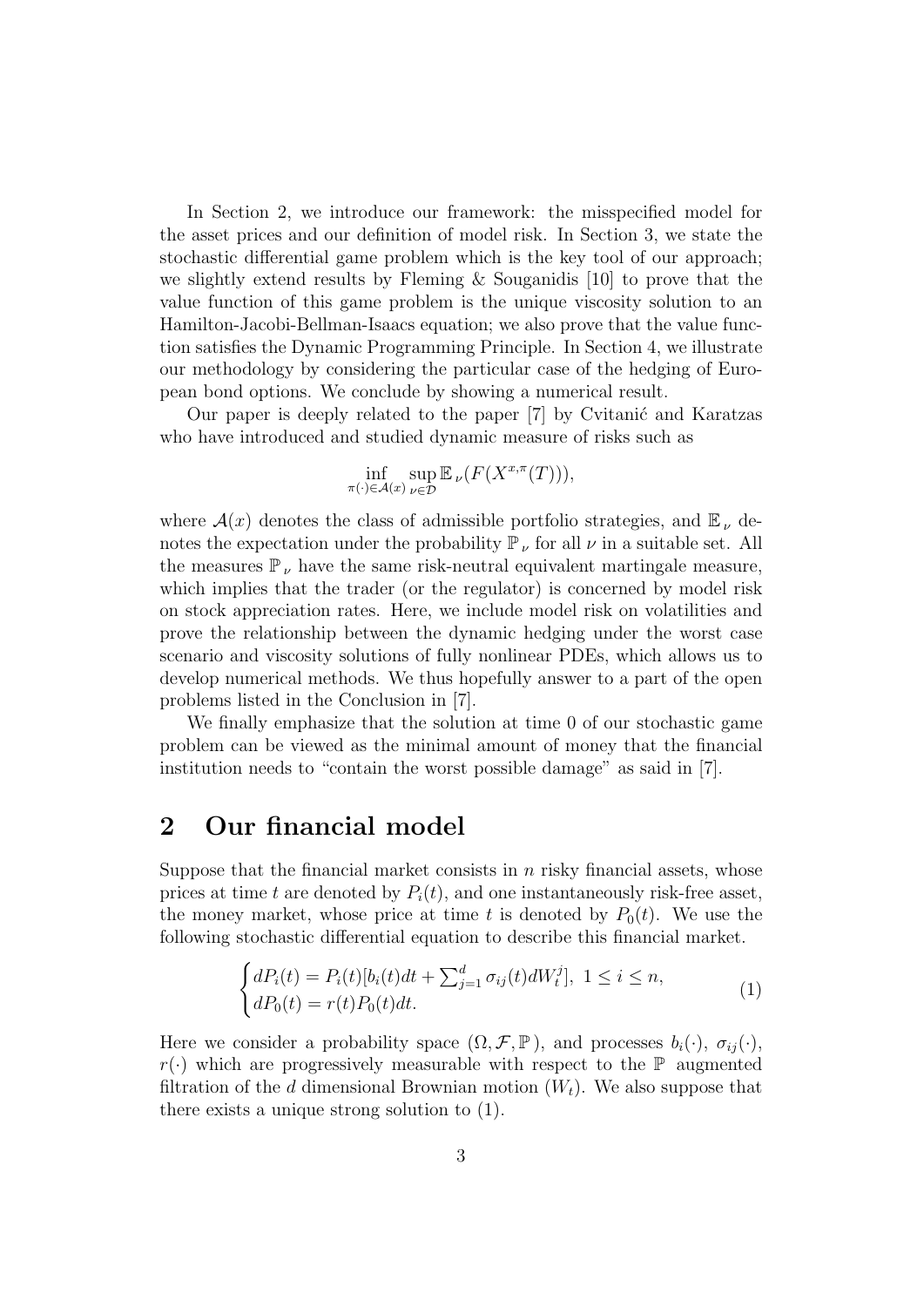In Section 2, we introduce our framework: the misspecified model for the asset prices and our definition of model risk. In Section 3, we state the stochastic differential game problem which is the key tool of our approach; we slightly extend results by Fleming & Souganidis [10] to prove that the value function of this game problem is the unique viscosity solution to an Hamilton-Jacobi-Bellman-Isaacs equation; we also prove that the value function satisfies the Dynamic Programming Principle. In Section 4, we illustrate our methodology by considering the particular case of the hedging of European bond options. We conclude by showing a numerical result.

Our paper is deeply related to the paper [7] by Cvitanić and Karatzas who have introduced and studied dynamic measure of risks such as

$$
\inf_{\pi(\cdot)\in\mathcal{A}(x)}\sup_{\nu\in\mathcal{D}}\mathbb{E}_{\nu}(F(X^{x,\pi}(T))),
$$

where  $\mathcal{A}(x)$  denotes the class of admissible portfolio strategies, and  $\mathbb{E}_{\nu}$  denotes the expectation under the probability  $\mathbb{P}_{\nu}$  for all  $\nu$  in a suitable set. All the measures  $\mathbb{P}_{\nu}$  have the same risk-neutral equivalent martingale measure, which implies that the trader (or the regulator) is concerned by model risk on stock appreciation rates. Here, we include model risk on volatilities and prove the relationship between the dynamic hedging under the worst case scenario and viscosity solutions of fully nonlinear PDEs, which allows us to develop numerical methods. We thus hopefully answer to a part of the open problems listed in the Conclusion in [7].

We finally emphasize that the solution at time 0 of our stochastic game problem can be viewed as the minimal amount of money that the financial institution needs to "contain the worst possible damage" as said in [7].

## 2 Our financial model

Suppose that the financial market consists in  $n$  risky financial assets, whose prices at time t are denoted by  $P_i(t)$ , and one instantaneously risk-free asset, the money market, whose price at time t is denoted by  $P_0(t)$ . We use the following stochastic differential equation to describe this financial market.

$$
\begin{cases}\ndP_i(t) = P_i(t)[b_i(t)dt + \sum_{j=1}^d \sigma_{ij}(t)dW_t^j], \ 1 \le i \le n, \\
dP_0(t) = r(t)P_0(t)dt.\n\end{cases} \tag{1}
$$

Here we consider a probability space  $(\Omega, \mathcal{F}, \mathbb{P})$ , and processes  $b_i(\cdot), \sigma_{ij}(\cdot)$ ,  $r(\cdot)$  which are progressively measurable with respect to the  $\mathbb P$  augmented filtration of the d dimensional Brownian motion  $(W_t)$ . We also suppose that there exists a unique strong solution to (1).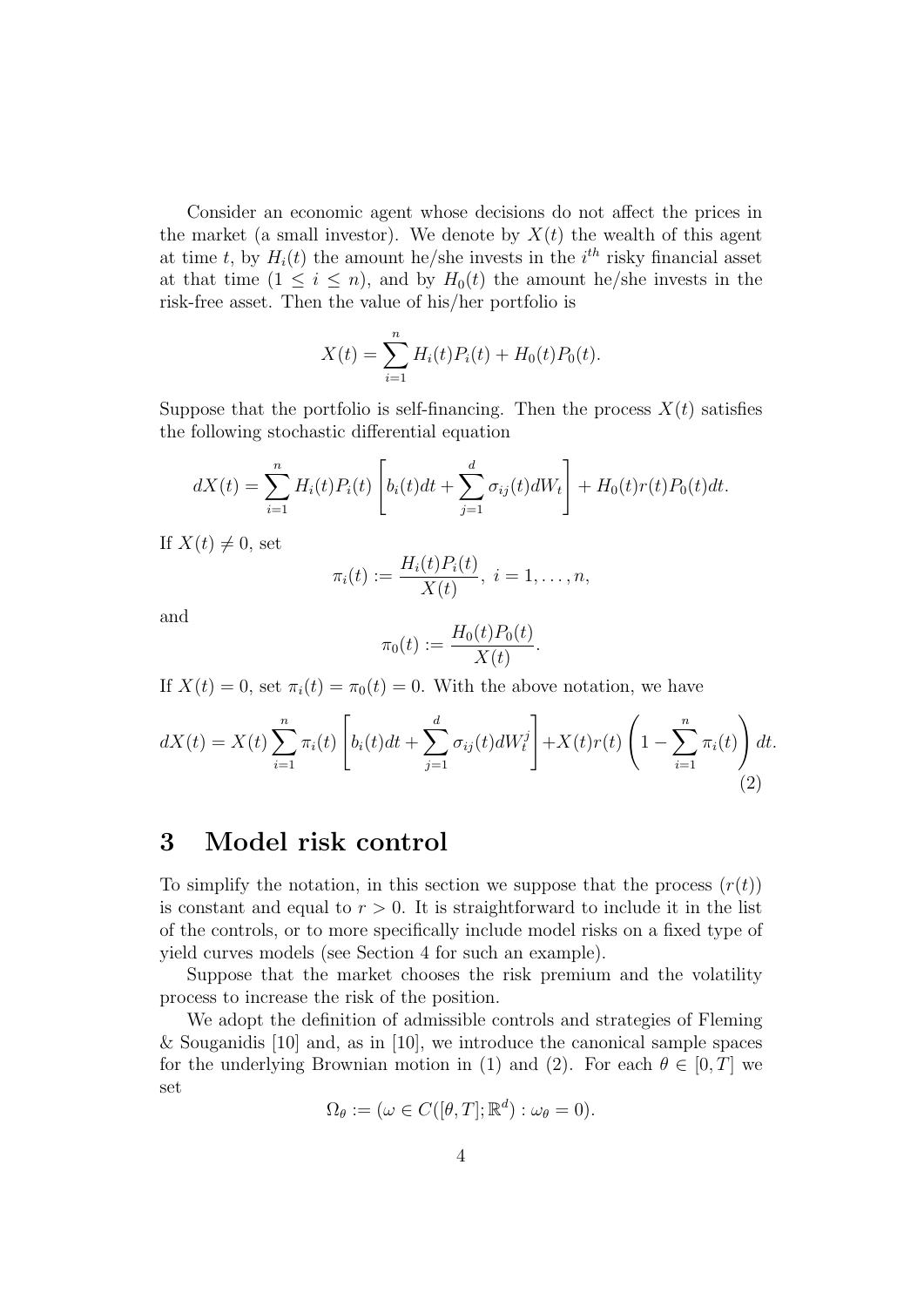Consider an economic agent whose decisions do not affect the prices in the market (a small investor). We denote by  $X(t)$  the wealth of this agent at time t, by  $H_i(t)$  the amount he/she invests in the  $i^{th}$  risky financial asset at that time  $(1 \leq i \leq n)$ , and by  $H_0(t)$  the amount he/she invests in the risk-free asset. Then the value of his/her portfolio is

$$
X(t) = \sum_{i=1}^{n} H_i(t)P_i(t) + H_0(t)P_0(t).
$$

Suppose that the portfolio is self-financing. Then the process  $X(t)$  satisfies the following stochastic differential equation

$$
dX(t) = \sum_{i=1}^{n} H_i(t)P_i(t) \left[ b_i(t)dt + \sum_{j=1}^{d} \sigma_{ij}(t)dW_t \right] + H_0(t)r(t)P_0(t)dt.
$$

If  $X(t) \neq 0$ , set

$$
\pi_i(t) := \frac{H_i(t)P_i(t)}{X(t)}, \ i = 1, \ldots, n,
$$

and

$$
\pi_0(t) := \frac{H_0(t)P_0(t)}{X(t)}.
$$

If  $X(t) = 0$ , set  $\pi_i(t) = \pi_0(t) = 0$ . With the above notation, we have

$$
dX(t) = X(t) \sum_{i=1}^{n} \pi_i(t) \left[ b_i(t)dt + \sum_{j=1}^{d} \sigma_{ij}(t) dW_t^j \right] + X(t)r(t) \left( 1 - \sum_{i=1}^{n} \pi_i(t) \right) dt.
$$
\n(2)

# 3 Model risk control

To simplify the notation, in this section we suppose that the process  $(r(t))$ is constant and equal to  $r > 0$ . It is straightforward to include it in the list of the controls, or to more specifically include model risks on a fixed type of yield curves models (see Section 4 for such an example).

Suppose that the market chooses the risk premium and the volatility process to increase the risk of the position.

We adopt the definition of admissible controls and strategies of Fleming & Souganidis [10] and, as in [10], we introduce the canonical sample spaces for the underlying Brownian motion in (1) and (2). For each  $\theta \in [0, T]$  we set

$$
\Omega_{\theta} := (\omega \in C([\theta, T]; \mathbb{R}^d) : \omega_{\theta} = 0).
$$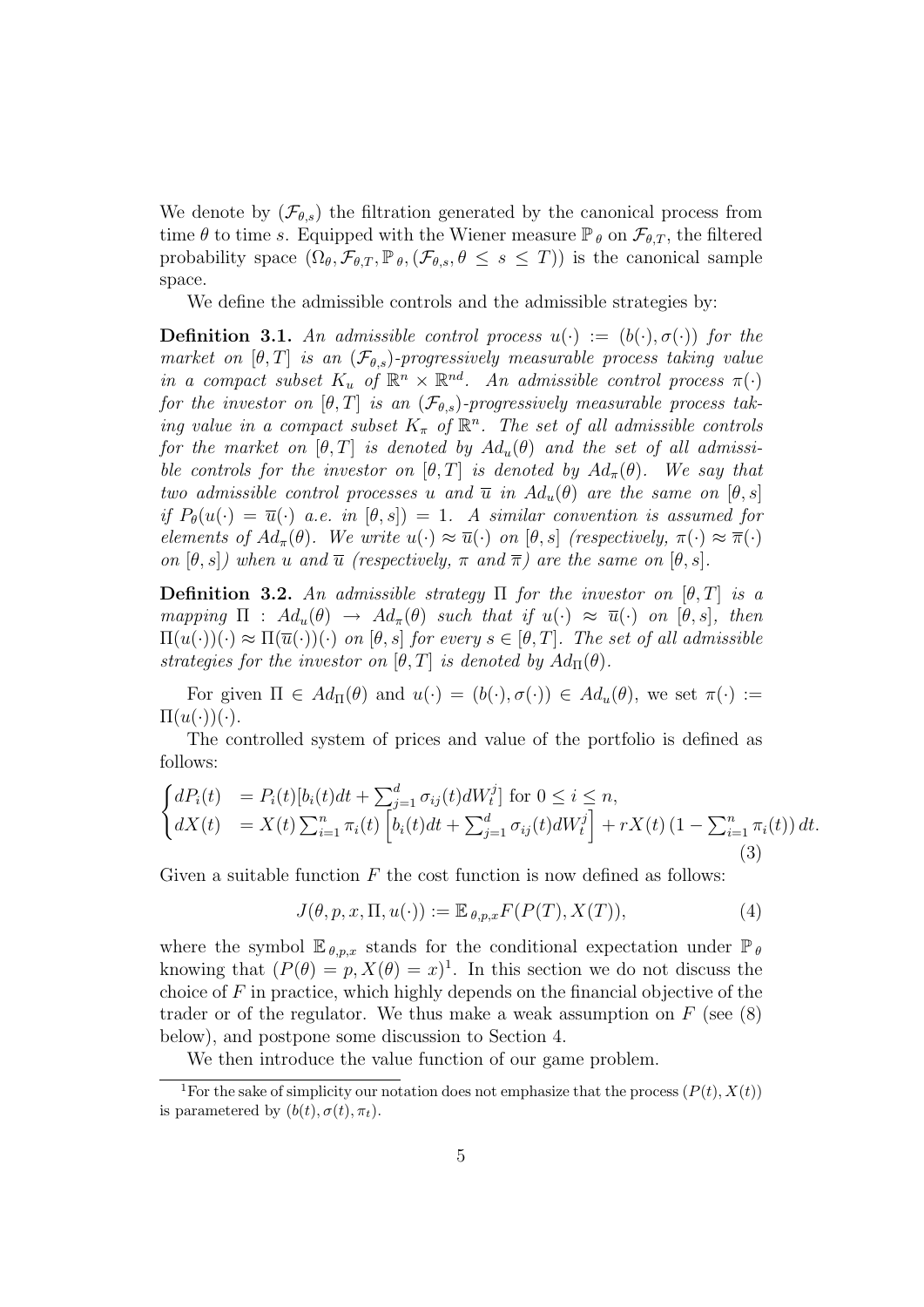We denote by  $(\mathcal{F}_{\theta,s})$  the filtration generated by the canonical process from time  $\theta$  to time s. Equipped with the Wiener measure  $\mathbb{P}_{\theta}$  on  $\mathcal{F}_{\theta,T}$ , the filtered probability space  $(\Omega_{\theta}, \mathcal{F}_{\theta,T}, \mathbb{P}_{\theta}, (\mathcal{F}_{\theta,s}, \theta \leq s \leq T))$  is the canonical sample space.

We define the admissible controls and the admissible strategies by:

**Definition 3.1.** An admissible control process  $u(\cdot) := (b(\cdot), \sigma(\cdot))$  for the market on  $[\theta, T]$  is an  $(\mathcal{F}_{\theta,s})$ -progressively measurable process taking value in a compact subset  $K_u$  of  $\mathbb{R}^n \times \mathbb{R}^{nd}$ . An admissible control process  $\pi(\cdot)$ for the investor on  $[\theta, T]$  is an  $(\mathcal{F}_{\theta,s})$ -progressively measurable process taking value in a compact subset  $K_{\pi}$  of  $\mathbb{R}^{n}$ . The set of all admissible controls for the market on  $[\theta, T]$  is denoted by  $Ad_u(\theta)$  and the set of all admissible controls for the investor on  $[\theta, T]$  is denoted by  $Ad_{\pi}(\theta)$ . We say that two admissible control processes u and  $\overline{u}$  in  $Ad_u(\theta)$  are the same on  $[\theta, s]$ if  $P_{\theta}(u(\cdot) = \overline{u}(\cdot)$  a.e. in  $[\theta, s]) = 1$ . A similar convention is assumed for elements of  $Ad_{\pi}(\theta)$ . We write  $u(\cdot) \approx \overline{u}(\cdot)$  on  $[\theta, s]$  (respectively,  $\pi(\cdot) \approx \overline{\pi}(\cdot)$ on  $[\theta, s]$ ) when u and  $\overline{u}$  (respectively,  $\pi$  and  $\overline{\pi}$ ) are the same on  $[\theta, s]$ .

**Definition 3.2.** An admissible strategy  $\Pi$  for the investor on  $[\theta, T]$  is a mapping  $\Pi$  :  $Ad_u(\theta) \rightarrow Ad_{\pi}(\theta)$  such that if  $u(\cdot) \approx \overline{u}(\cdot)$  on  $[\theta, s]$ , then  $\Pi(u(\cdot))(\cdot) \approx \Pi(\overline{u}(\cdot))(\cdot)$  on  $[\theta, s]$  for every  $s \in [\theta, T]$ . The set of all admissible strategies for the investor on  $[\theta, T]$  is denoted by  $Ad_{\Pi}(\theta)$ .

For given  $\Pi \in Ad_{\Pi}(\theta)$  and  $u(\cdot) = (b(\cdot), \sigma(\cdot)) \in Ad_{u}(\theta)$ , we set  $\pi(\cdot) :=$  $\Pi(u(\cdot))(\cdot)$ .

The controlled system of prices and value of the portfolio is defined as follows:

$$
\begin{cases}\ndP_i(t) &= P_i(t)[b_i(t)dt + \sum_{j=1}^d \sigma_{ij}(t)dW_t^j] \text{ for } 0 \le i \le n, \\
dX(t) &= X(t)\sum_{i=1}^n \pi_i(t) \left[b_i(t)dt + \sum_{j=1}^d \sigma_{ij}(t)dW_t^j\right] + rX(t)\left(1 - \sum_{i=1}^n \pi_i(t)\right)dt.\n\end{cases} \tag{3}
$$

Given a suitable function  $F$  the cost function is now defined as follows:

$$
J(\theta, p, x, \Pi, u(\cdot)) := \mathbb{E}_{\theta, p, x} F(P(T), X(T)), \tag{4}
$$

where the symbol  $\mathbb{E}_{\theta,p,x}$  stands for the conditional expectation under  $\mathbb{P}_{\theta}$ knowing that  $(P(\theta) = p, X(\theta) = x)^{1}$ . In this section we do not discuss the choice of  $F$  in practice, which highly depends on the financial objective of the trader or of the regulator. We thus make a weak assumption on  $F$  (see (8) below), and postpone some discussion to Section 4.

We then introduce the value function of our game problem.

<sup>&</sup>lt;sup>1</sup>For the sake of simplicity our notation does not emphasize that the process  $(P(t), X(t))$ is parametered by  $(b(t), \sigma(t), \pi_t)$ .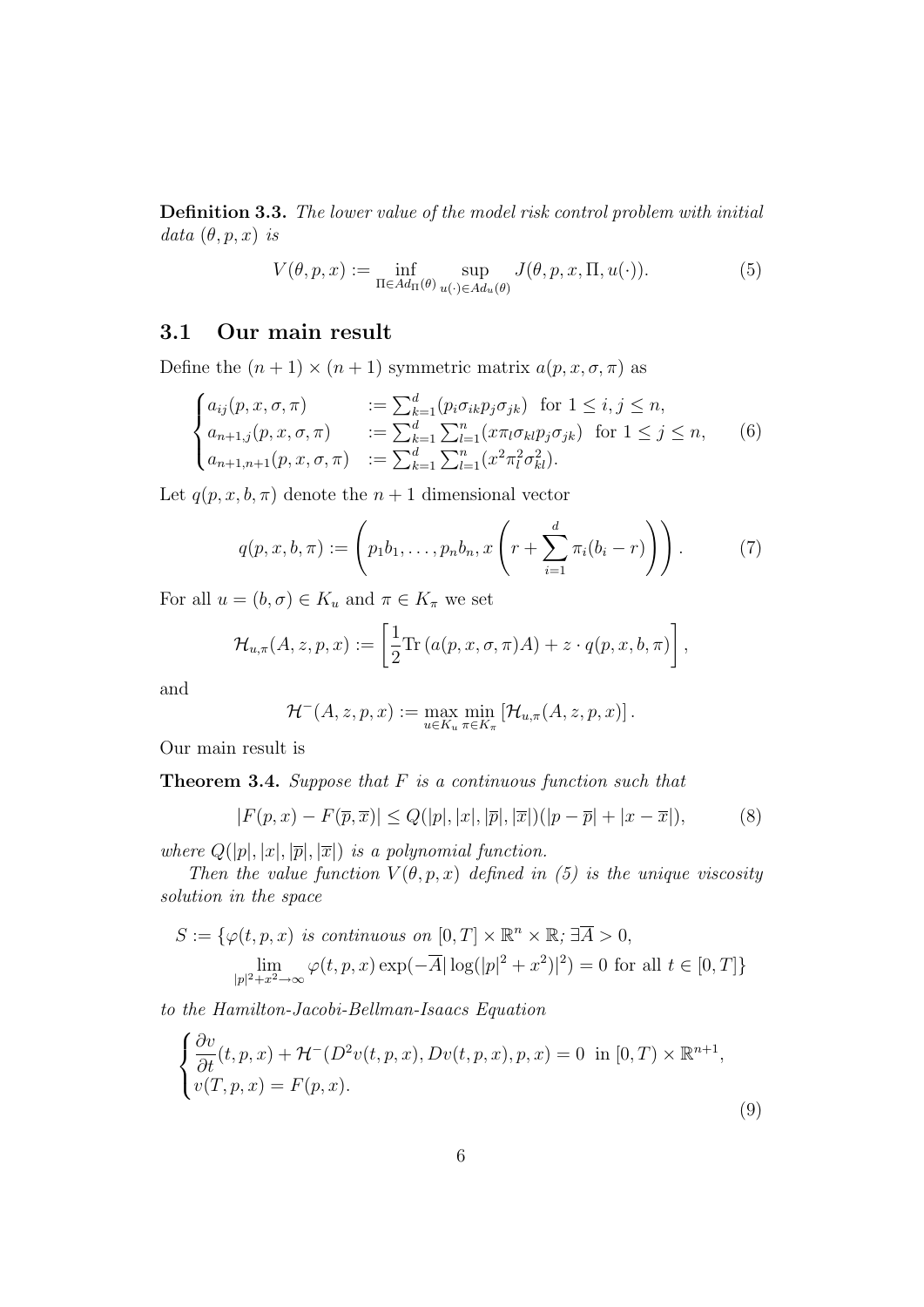Definition 3.3. The lower value of the model risk control problem with initial data  $(\theta, p, x)$  is

$$
V(\theta, p, x) := \inf_{\Pi \in Ad_{\Pi}(\theta)} \sup_{u(\cdot) \in Ad_u(\theta)} J(\theta, p, x, \Pi, u(\cdot)).
$$
 (5)

## 3.1 Our main result

Define the  $(n + 1) \times (n + 1)$  symmetric matrix  $a(p, x, \sigma, \pi)$  as

$$
\begin{cases}\na_{ij}(p, x, \sigma, \pi) &:= \sum_{k=1}^{d} (p_i \sigma_{ik} p_j \sigma_{jk}) \text{ for } 1 \leq i, j \leq n, \\
a_{n+1,j}(p, x, \sigma, \pi) &:= \sum_{k=1}^{d} \sum_{l=1}^{n} (x \pi_l \sigma_{kl} p_j \sigma_{jk}) \text{ for } 1 \leq j \leq n, \\
a_{n+1,n+1}(p, x, \sigma, \pi) &:= \sum_{k=1}^{d} \sum_{l=1}^{n} (x^2 \pi_l^2 \sigma_{kl}^2).\n\end{cases}
$$
\n(6)

Let  $q(p, x, b, \pi)$  denote the  $n + 1$  dimensional vector

$$
q(p, x, b, \pi) := \left( p_1 b_1, \dots, p_n b_n, x \left( r + \sum_{i=1}^d \pi_i (b_i - r) \right) \right). \tag{7}
$$

For all  $u = (b, \sigma) \in K_u$  and  $\pi \in K_{\pi}$  we set

$$
\mathcal{H}_{u,\pi}(A,z,p,x):=\left[\frac{1}{2}\mathrm{Tr}\left(a(p,x,\sigma,\pi)A\right)+z\cdot q(p,x,b,\pi)\right],
$$

and

$$
\mathcal{H}^-(A,z,p,x) := \max_{u \in K_u} \min_{\pi \in K_{\pi}} \left[ \mathcal{H}_{u,\pi}(A,z,p,x) \right].
$$

Our main result is

**Theorem 3.4.** Suppose that  $F$  is a continuous function such that

$$
|F(p,x)-F(\overline{p},\overline{x})| \le Q(|p|,|x|,|\overline{p}|,|\overline{x}|)(|p-\overline{p}|+|x-\overline{x}|),
$$
 (8)

where  $Q(|p|, |x|, |\overline{p}|, |\overline{x}|)$  is a polynomial function.

Then the value function  $V(\theta, p, x)$  defined in (5) is the unique viscosity solution in the space

$$
S := \{ \varphi(t, p, x) \text{ is continuous on } [0, T] \times \mathbb{R}^n \times \mathbb{R}; \exists \overline{A} > 0, \lim_{|p|^2 + x^2 \to \infty} \varphi(t, p, x) \exp(-\overline{A} |\log(|p|^2 + x^2)|^2) = 0 \text{ for all } t \in [0, T] \}
$$

to the Hamilton-Jacobi-Bellman-Isaacs Equation

$$
\begin{cases} \frac{\partial v}{\partial t}(t, p, x) + \mathcal{H}^-(D^2v(t, p, x), Dv(t, p, x), p, x) = 0 \text{ in } [0, T) \times \mathbb{R}^{n+1}, \\ v(T, p, x) = F(p, x). \end{cases}
$$
\n(9)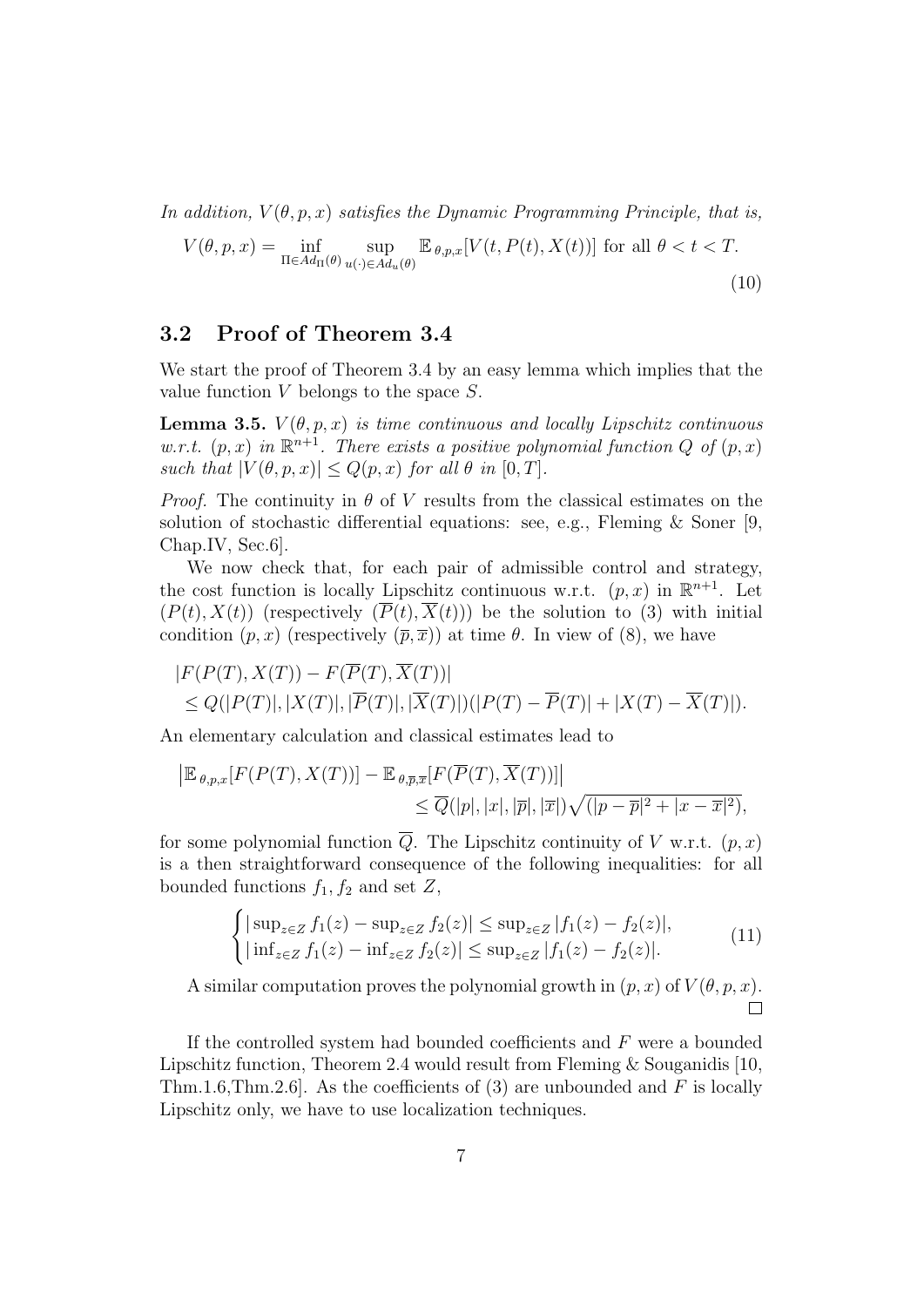In addition,  $V(\theta, p, x)$  satisfies the Dynamic Programming Principle, that is,

$$
V(\theta, p, x) = \inf_{\Pi \in Ad_{\Pi}(\theta)} \sup_{u(\cdot) \in Ad_u(\theta)} \mathbb{E}_{\theta, p, x}[V(t, P(t), X(t))] \text{ for all } \theta < t < T.
$$
\n(10)

### 3.2 Proof of Theorem 3.4

We start the proof of Theorem 3.4 by an easy lemma which implies that the value function  $V$  belongs to the space  $S$ .

**Lemma 3.5.**  $V(\theta, p, x)$  is time continuous and locally Lipschitz continuous w.r.t.  $(p, x)$  in  $\mathbb{R}^{n+1}$ . There exists a positive polynomial function Q of  $(p, x)$ such that  $|V(\theta, p, x)| \leq Q(p, x)$  for all  $\theta$  in  $[0, T]$ .

*Proof.* The continuity in  $\theta$  of V results from the classical estimates on the solution of stochastic differential equations: see, e.g., Fleming & Soner [9, Chap.IV, Sec.6].

We now check that, for each pair of admissible control and strategy, the cost function is locally Lipschitz continuous w.r.t.  $(p, x)$  in  $\mathbb{R}^{n+1}$ . Let  $(P(t), X(t))$  (respectively  $(\overline{P}(t), \overline{X}(t))$ ) be the solution to (3) with initial condition  $(p, x)$  (respectively  $(\overline{p}, \overline{x})$ ) at time  $\theta$ . In view of (8), we have

$$
|F(P(T), X(T)) - F(\overline{P}(T), \overline{X}(T))|
$$
  
\n
$$
\leq Q(|P(T)|, |X(T)|, |\overline{P}(T)|, |\overline{X}(T)|)(|P(T) - \overline{P}(T)| + |X(T) - \overline{X}(T)|).
$$

An elementary calculation and classical estimates lead to

$$
\begin{aligned} \left| \mathbb{E}_{\theta,p,x}[F(P(T),X(T))] - \mathbb{E}_{\theta,\overline{p},\overline{x}}[F(\overline{P}(T),\overline{X}(T))] \right| \\ &\leq \overline{Q}(|p|,|x|,|\overline{p}|,|\overline{x}|) \sqrt{(|p-\overline{p}|^2+|x-\overline{x}|^2)}, \end{aligned}
$$

for some polynomial function  $\overline{Q}$ . The Lipschitz continuity of V w.r.t.  $(p, x)$ is a then straightforward consequence of the following inequalities: for all bounded functions  $f_1, f_2$  and set Z,

$$
\begin{cases} |\sup_{z \in Z} f_1(z) - \sup_{z \in Z} f_2(z)| \le \sup_{z \in Z} |f_1(z) - f_2(z)|, \\ |\inf_{z \in Z} f_1(z) - \inf_{z \in Z} f_2(z)| \le \sup_{z \in Z} |f_1(z) - f_2(z)|. \end{cases}
$$
(11)

A similar computation proves the polynomial growth in  $(p, x)$  of  $V(\theta, p, x)$ .  $\Box$ 

If the controlled system had bounded coefficients and  $F$  were a bounded Lipschitz function, Theorem 2.4 would result from Fleming & Souganidis [10, Thm.1.6,Thm.2.6]. As the coefficients of (3) are unbounded and  $F$  is locally Lipschitz only, we have to use localization techniques.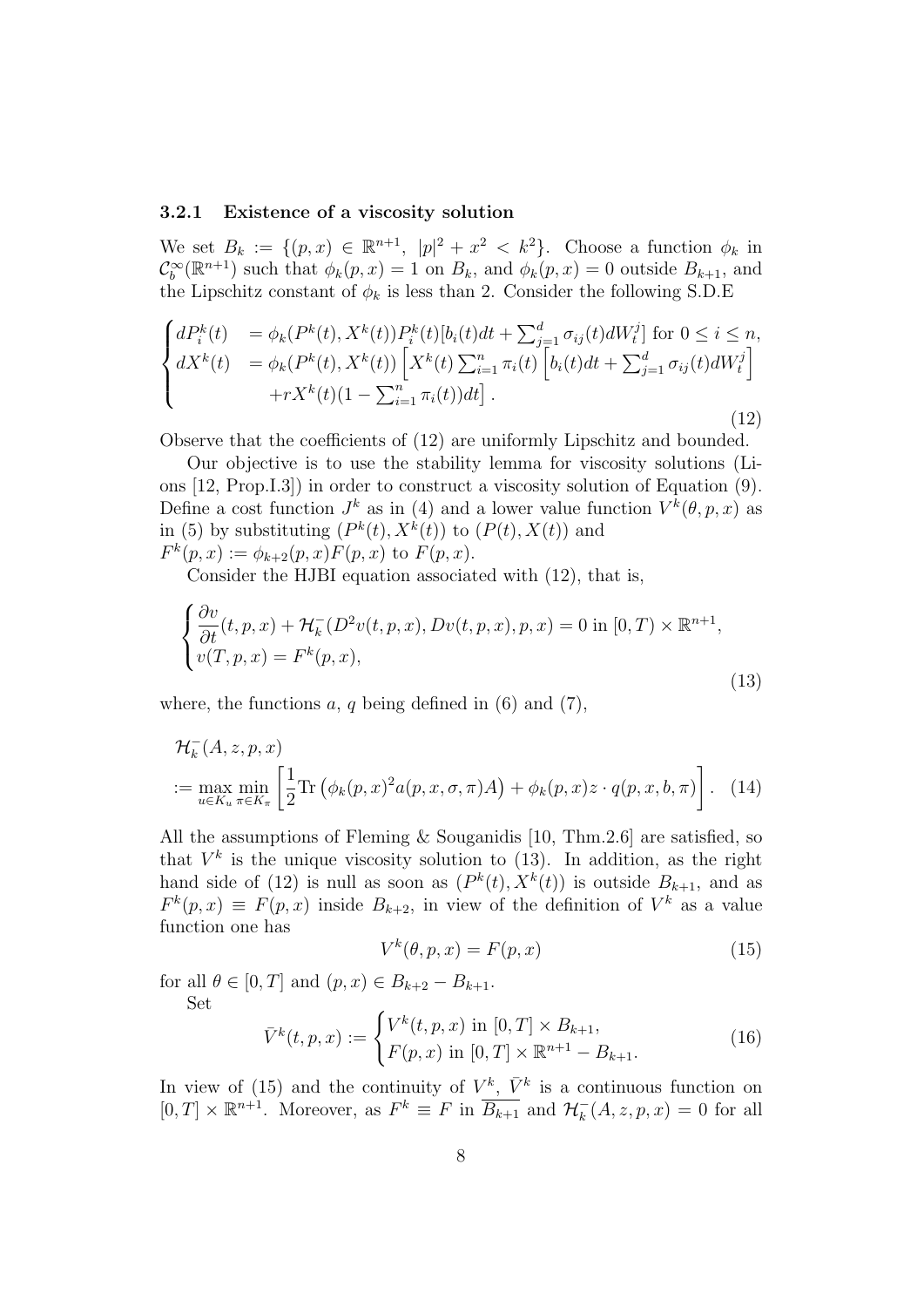#### 3.2.1 Existence of a viscosity solution

We set  $B_k := \{(p, x) \in \mathbb{R}^{n+1}, |p|^2 + x^2 < k^2\}$ . Choose a function  $\phi_k$  in  $\mathcal{C}_b^{\infty}(\mathbb{R}^{n+1})$  such that  $\phi_k(p,x) = 1$  on  $B_k$ , and  $\phi_k(p,x) = 0$  outside  $B_{k+1}$ , and the Lipschitz constant of  $\phi_k$  is less than 2. Consider the following S.D.E

$$
\begin{cases}\ndP_i^k(t) &= \phi_k(P^k(t), X^k(t))P_i^k(t)[b_i(t)dt + \sum_{j=1}^d \sigma_{ij}(t)dW_t^j] \text{ for } 0 \le i \le n, \\
dX^k(t) &= \phi_k(P^k(t), X^k(t)) \left[ X^k(t) \sum_{i=1}^n \pi_i(t) \left[ b_i(t)dt + \sum_{j=1}^d \sigma_{ij}(t)dW_t^j \right] + rX^k(t)(1 - \sum_{i=1}^n \pi_i(t))dt \right].\n\end{cases} \tag{12}
$$

Observe that the coefficients of (12) are uniformly Lipschitz and bounded.

Our objective is to use the stability lemma for viscosity solutions (Lions [12, Prop.I.3]) in order to construct a viscosity solution of Equation (9). Define a cost function  $J^k$  as in (4) and a lower value function  $V^k(\theta, p, x)$  as in (5) by substituting  $(P^k(t), X^k(t))$  to  $(P(t), X(t))$  and  $F^k(p, x) := \phi_{k+2}(p, x) F(p, x)$  to  $F(p, x)$ .

Consider the HJBI equation associated with (12), that is,

$$
\begin{cases} \frac{\partial v}{\partial t}(t, p, x) + \mathcal{H}_k^-(D^2v(t, p, x), Dv(t, p, x), p, x) = 0 \text{ in } [0, T) \times \mathbb{R}^{n+1}, \\ v(T, p, x) = F^k(p, x), \end{cases}
$$
\n(13)

where, the functions  $a, q$  being defined in (6) and (7),

$$
\mathcal{H}_k^-(A, z, p, x)
$$
  
 := max<sub>u \in K\_u</sub> min <sub>$\pi \in K_{\pi}$</sub>   $\left[\frac{1}{2} \text{Tr}\left(\phi_k(p, x)^2 a(p, x, \sigma, \pi) A\right) + \phi_k(p, x) z \cdot q(p, x, b, \pi)\right]. (14)$ 

All the assumptions of Fleming & Souganidis [10, Thm.2.6] are satisfied, so that  $V^k$  is the unique viscosity solution to (13). In addition, as the right hand side of (12) is null as soon as  $(P^k(t), X^k(t))$  is outside  $B_{k+1}$ , and as  $F^k(p,x) \equiv F(p,x)$  inside  $B_{k+2}$ , in view of the definition of  $V^k$  as a value function one has

$$
V^k(\theta, p, x) = F(p, x) \tag{15}
$$

for all  $\theta \in [0, T]$  and  $(p, x) \in B_{k+2} - B_{k+1}$ . Set

$$
\bar{V}^{k}(t, p, x) := \begin{cases} V^{k}(t, p, x) \text{ in } [0, T] \times B_{k+1}, \\ F(p, x) \text{ in } [0, T] \times \mathbb{R}^{n+1} - B_{k+1}. \end{cases}
$$
(16)

In view of (15) and the continuity of  $V^k$ ,  $\bar{V}^k$  is a continuous function on  $[0, T] \times \mathbb{R}^{n+1}$ . Moreover, as  $F^k \equiv F$  in  $\overline{B_{k+1}}$  and  $\mathcal{H}_k^-(A, z, p, x) = 0$  for all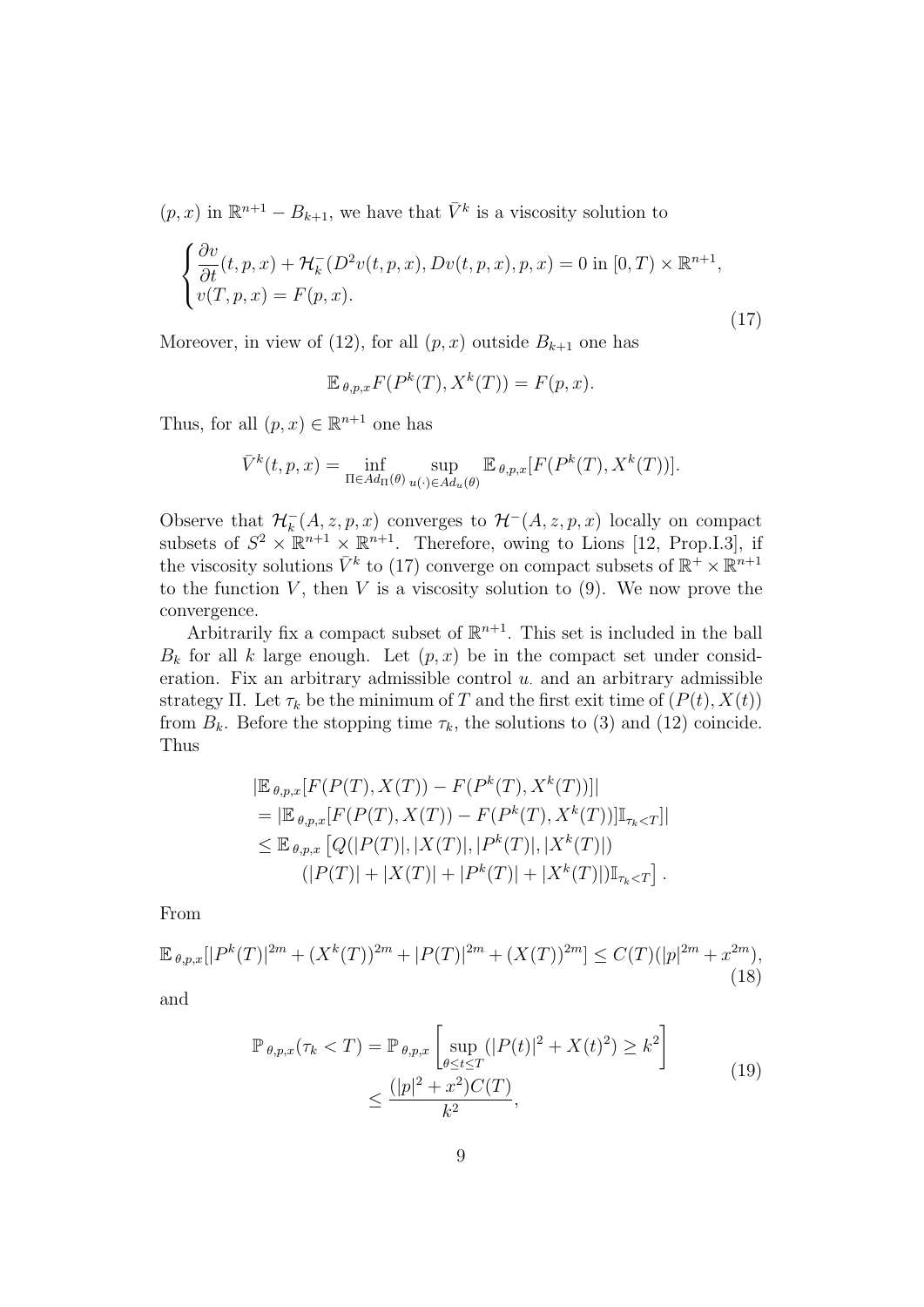$(p, x)$  in  $\mathbb{R}^{n+1} - B_{k+1}$ , we have that  $\overline{V}^k$  is a viscosity solution to

$$
\begin{cases} \frac{\partial v}{\partial t}(t, p, x) + \mathcal{H}_k^-(D^2v(t, p, x), Dv(t, p, x), p, x) = 0 \text{ in } [0, T) \times \mathbb{R}^{n+1}, \\ v(T, p, x) = F(p, x). \end{cases}
$$
\n(17)

Moreover, in view of (12), for all  $(p, x)$  outside  $B_{k+1}$  one has

$$
\mathbb{E}_{\theta,p,x}F(P^k(T),X^k(T)) = F(p,x).
$$

Thus, for all  $(p, x) \in \mathbb{R}^{n+1}$  one has

$$
\bar{V}^k(t,p,x) = \inf_{\Pi \in Ad_{\Pi}(\theta)} \sup_{u(\cdot) \in Ad_u(\theta)} \mathbb{E}_{\theta,p,x}[F(P^k(T), X^k(T))].
$$

Observe that  $\mathcal{H}_k^-(A, z, p, x)$  converges to  $\mathcal{H}^-(A, z, p, x)$  locally on compact subsets of  $S^2 \times \mathbb{R}^{n+1} \times \mathbb{R}^{n+1}$ . Therefore, owing to Lions [12, Prop.I.3], if the viscosity solutions  $\bar{V}^k$  to (17) converge on compact subsets of  $\mathbb{R}^+ \times \mathbb{R}^{n+1}$ to the function  $V$ , then  $V$  is a viscosity solution to  $(9)$ . We now prove the convergence.

Arbitrarily fix a compact subset of  $\mathbb{R}^{n+1}$ . This set is included in the ball  $B_k$  for all k large enough. Let  $(p, x)$  be in the compact set under consideration. Fix an arbitrary admissible control  $u$  and an arbitrary admissible strategy Π. Let  $\tau_k$  be the minimum of T and the first exit time of  $(P(t), X(t))$ from  $B_k$ . Before the stopping time  $\tau_k$ , the solutions to (3) and (12) coincide. Thus

$$
|\mathbb{E}_{\theta,p,x}[F(P(T), X(T)) - F(P^k(T), X^k(T))]|
$$
  
\n= 
$$
|\mathbb{E}_{\theta,p,x}[F(P(T), X(T)) - F(P^k(T), X^k(T))]\mathbb{I}_{\tau_k < T}]|
$$
  
\n
$$
\leq \mathbb{E}_{\theta,p,x}[Q(|P(T)|, |X(T)|, |P^k(T)|, |X^k(T)|))
$$
  
\n
$$
(|P(T)| + |X(T)| + |P^k(T)| + |X^k(T)|)\mathbb{I}_{\tau_k < T}].
$$

From

$$
\mathbb{E}_{\theta,p,x}[|P^k(T)|^{2m} + (X^k(T))^{2m} + |P(T)|^{2m} + (X(T))^{2m}] \le C(T)(|p|^{2m} + x^{2m}),
$$
\n(18)

and

$$
\mathbb{P}_{\theta,p,x}(\tau_k < T) = \mathbb{P}_{\theta,p,x} \left[ \sup_{\theta \le t \le T} (|P(t)|^2 + X(t)^2) \ge k^2 \right] \\
\le \frac{(|p|^2 + x^2)C(T)}{k^2},\n\tag{19}
$$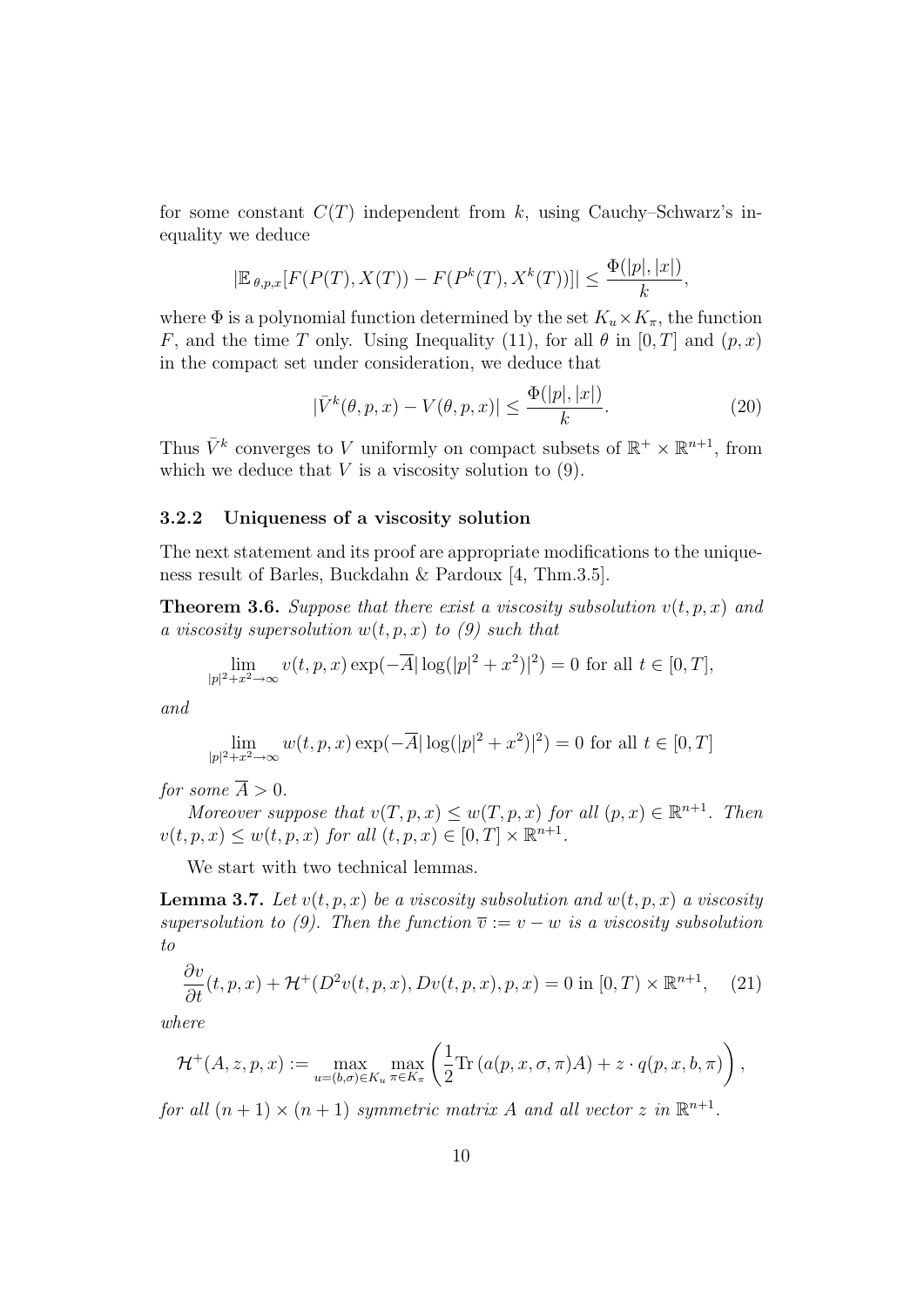for some constant  $C(T)$  independent from k, using Cauchy–Schwarz's inequality we deduce

$$
|\mathbb{E}_{\theta,p,x}[F(P(T),X(T)) - F(P^k(T),X^k(T))]| \leq \frac{\Phi(|p|,|x|)}{k},
$$

where  $\Phi$  is a polynomial function determined by the set  $K_u \times K_\pi$ , the function F, and the time T only. Using Inequality (11), for all  $\theta$  in [0, T] and  $(p, x)$ in the compact set under consideration, we deduce that

$$
|\bar{V}^k(\theta, p, x) - V(\theta, p, x)| \le \frac{\Phi(|p|, |x|)}{k}.
$$
\n(20)

Thus  $\bar{V}^k$  converges to V uniformly on compact subsets of  $\mathbb{R}^+ \times \mathbb{R}^{n+1}$ , from which we deduce that  $V$  is a viscosity solution to  $(9)$ .

### 3.2.2 Uniqueness of a viscosity solution

The next statement and its proof are appropriate modifications to the uniqueness result of Barles, Buckdahn & Pardoux [4, Thm.3.5].

**Theorem 3.6.** Suppose that there exist a viscosity subsolution  $v(t, p, x)$  and a viscosity supersolution  $w(t, p, x)$  to (9) such that

$$
\lim_{|p|^2 + x^2 \to \infty} v(t, p, x) \exp(-\overline{A} |\log(|p|^2 + x^2)|^2) = 0 \text{ for all } t \in [0, T],
$$

and

$$
\lim_{|p|^2 + x^2 \to \infty} w(t, p, x) \exp(-\overline{A} |\log(|p|^2 + x^2)|^2) = 0
$$
 for all  $t \in [0, T]$ 

for some  $\overline{A} > 0$ .

Moreover suppose that  $v(T, p, x) \leq w(T, p, x)$  for all  $(p, x) \in \mathbb{R}^{n+1}$ . Then  $v(t, p, x) \leq w(t, p, x)$  for all  $(t, p, x) \in [0, T] \times \mathbb{R}^{n+1}$ .

We start with two technical lemmas.

**Lemma 3.7.** Let  $v(t, p, x)$  be a viscosity subsolution and  $w(t, p, x)$  a viscosity supersolution to (9). Then the function  $\overline{v} := v - w$  is a viscosity subsolution to

$$
\frac{\partial v}{\partial t}(t, p, x) + \mathcal{H}^+(D^2v(t, p, x), Dv(t, p, x), p, x) = 0 \text{ in } [0, T) \times \mathbb{R}^{n+1}, \quad (21)
$$

where

$$
\mathcal{H}^+(A,z,p,x) := \max_{u=(b,\sigma)\in K_u} \max_{\pi\in K_\pi} \left(\frac{1}{2}\text{Tr}\left(a(p,x,\sigma,\pi)A\right) + z \cdot q(p,x,b,\pi)\right),
$$

for all  $(n + 1) \times (n + 1)$  symmetric matrix A and all vector z in  $\mathbb{R}^{n+1}$ .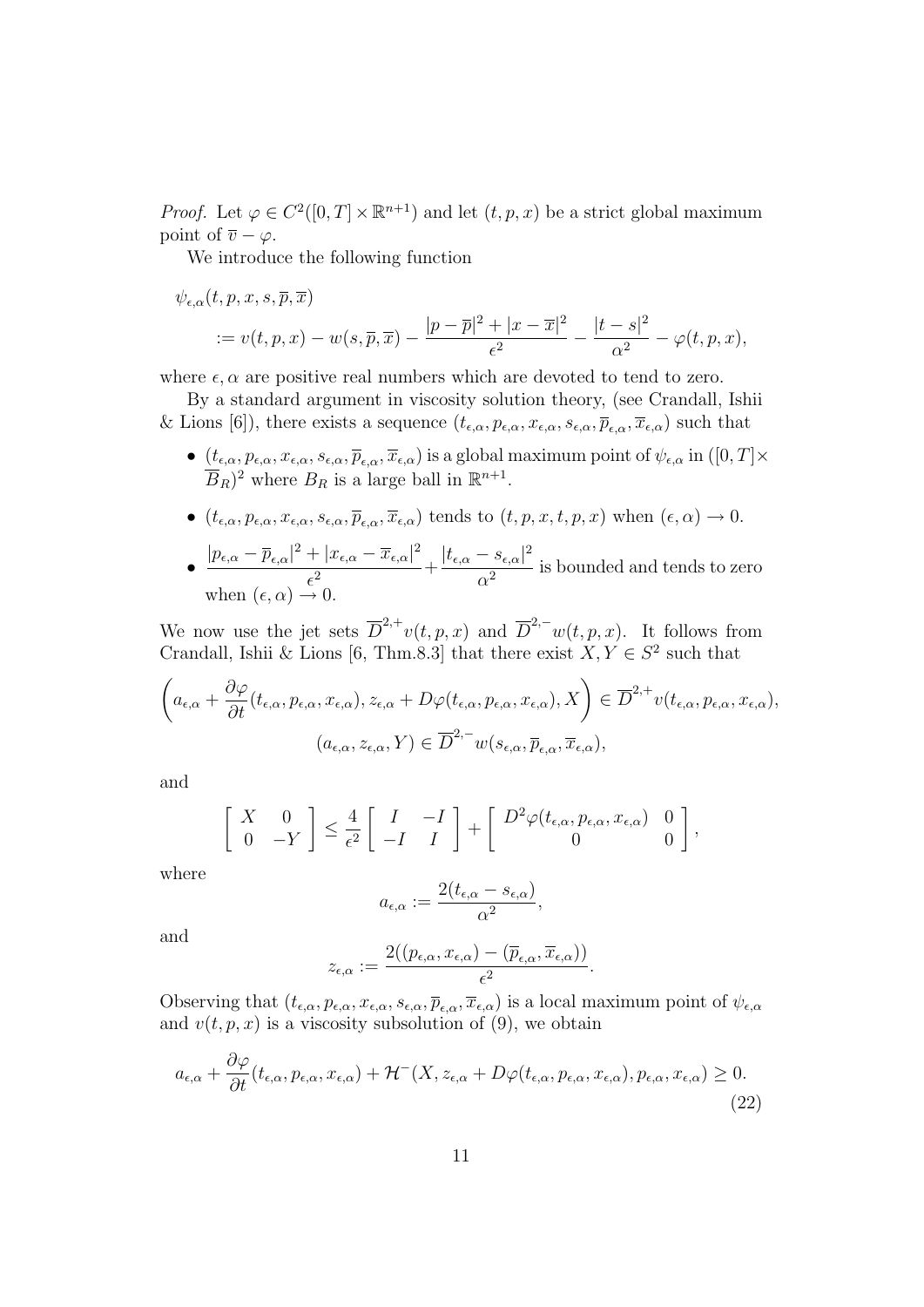*Proof.* Let  $\varphi \in C^2([0,T] \times \mathbb{R}^{n+1})$  and let  $(t, p, x)$  be a strict global maximum point of  $\overline{v} - \varphi$ .

We introduce the following function

$$
\psi_{\epsilon,\alpha}(t,p,x,s,\overline{p},\overline{x}) = v(t,p,x) - w(s,\overline{p},\overline{x}) - \frac{|p-\overline{p}|^2 + |x-\overline{x}|^2}{\epsilon^2} - \frac{|t-s|^2}{\alpha^2} - \varphi(t,p,x),
$$

where  $\epsilon$ ,  $\alpha$  are positive real numbers which are devoted to tend to zero.

By a standard argument in viscosity solution theory, (see Crandall, Ishii & Lions [6]), there exists a sequence  $(t_{\epsilon,\alpha}, p_{\epsilon,\alpha}, x_{\epsilon,\alpha}, s_{\epsilon,\alpha}, \overline{p}_{\epsilon,\alpha}, \overline{x}_{\epsilon,\alpha})$  such that

- $(t_{\epsilon,\alpha}, p_{\epsilon,\alpha}, x_{\epsilon,\alpha}, s_{\epsilon,\alpha}, \overline{p}_{\epsilon,\alpha}, \overline{x}_{\epsilon,\alpha})$  is a global maximum point of  $\psi_{\epsilon,\alpha}$  in  $([0, T] \times$  $\overline{B}_R$ <sup>2</sup> where  $B_R$  is a large ball in  $\mathbb{R}^{n+1}$ .
- $(t_{\epsilon,\alpha}, p_{\epsilon,\alpha}, x_{\epsilon,\alpha}, s_{\epsilon,\alpha}, \overline{p}_{\epsilon,\alpha}, \overline{x}_{\epsilon,\alpha})$  tends to  $(t, p, x, t, p, x)$  when  $(\epsilon, \alpha) \rightarrow 0$ .
- $\frac{|p_{\epsilon,\alpha}-\overline{p}_{\epsilon,\alpha}|^2+|x_{\epsilon,\alpha}-\overline{x}_{\epsilon,\alpha}|^2}{2}$  $+\frac{|x_{\epsilon,\alpha}-\overline{x}_{\epsilon,\alpha}|^2}{\epsilon^2}+\frac{|t_{\epsilon,\alpha}-s_{\epsilon,\alpha}|^2}{\alpha^2}$  $\frac{\partial \epsilon}{\partial t^2}$  is bounded and tends to zero when  $(\epsilon, \alpha) \rightarrow 0$ .

We now use the jet sets  $\overline{D}^{2,+}v(t,p,x)$  and  $\overline{D}^{2,-}w(t,p,x)$ . It follows from Crandall, Ishii & Lions [6, Thm.8.3] that there exist  $X, Y \in S^2$  such that

$$
\left(a_{\epsilon,\alpha} + \frac{\partial \varphi}{\partial t}(t_{\epsilon,\alpha}, p_{\epsilon,\alpha}, x_{\epsilon,\alpha}), z_{\epsilon,\alpha} + D\varphi(t_{\epsilon,\alpha}, p_{\epsilon,\alpha}, x_{\epsilon,\alpha}), X\right) \in \overline{D}^{2,+}v(t_{\epsilon,\alpha}, p_{\epsilon,\alpha}, x_{\epsilon,\alpha}),
$$

$$
(a_{\epsilon,\alpha}, z_{\epsilon,\alpha}, Y) \in \overline{D}^{2,-}w(s_{\epsilon,\alpha}, \overline{p}_{\epsilon,\alpha}, \overline{x}_{\epsilon,\alpha}),
$$

and

$$
\begin{bmatrix} X & 0 \\ 0 & -Y \end{bmatrix} \leq \frac{4}{\epsilon^2} \begin{bmatrix} I & -I \\ -I & I \end{bmatrix} + \begin{bmatrix} D^2 \varphi(t_{\epsilon,\alpha}, p_{\epsilon,\alpha}, x_{\epsilon,\alpha}) & 0 \\ 0 & 0 \end{bmatrix},
$$

where

$$
a_{\epsilon,\alpha} := \frac{2(t_{\epsilon,\alpha} - s_{\epsilon,\alpha})}{\alpha^2},
$$

and

$$
z_{\epsilon,\alpha} := \frac{2((p_{\epsilon,\alpha}, x_{\epsilon,\alpha}) - (\overline{p}_{\epsilon,\alpha}, \overline{x}_{\epsilon,\alpha}))}{\epsilon^2}.
$$

Observing that  $(t_{\epsilon,\alpha}, p_{\epsilon,\alpha}, x_{\epsilon,\alpha}, s_{\epsilon,\alpha}, \overline{p}_{\epsilon,\alpha}, \overline{x}_{\epsilon,\alpha})$  is a local maximum point of  $\psi_{\epsilon,\alpha}$ and  $v(t, p, x)$  is a viscosity subsolution of (9), we obtain

$$
a_{\epsilon,\alpha} + \frac{\partial \varphi}{\partial t}(t_{\epsilon,\alpha}, p_{\epsilon,\alpha}, x_{\epsilon,\alpha}) + \mathcal{H}^-(X, z_{\epsilon,\alpha} + D\varphi(t_{\epsilon,\alpha}, p_{\epsilon,\alpha}, x_{\epsilon,\alpha}), p_{\epsilon,\alpha}, x_{\epsilon,\alpha}) \ge 0.
$$
\n(22)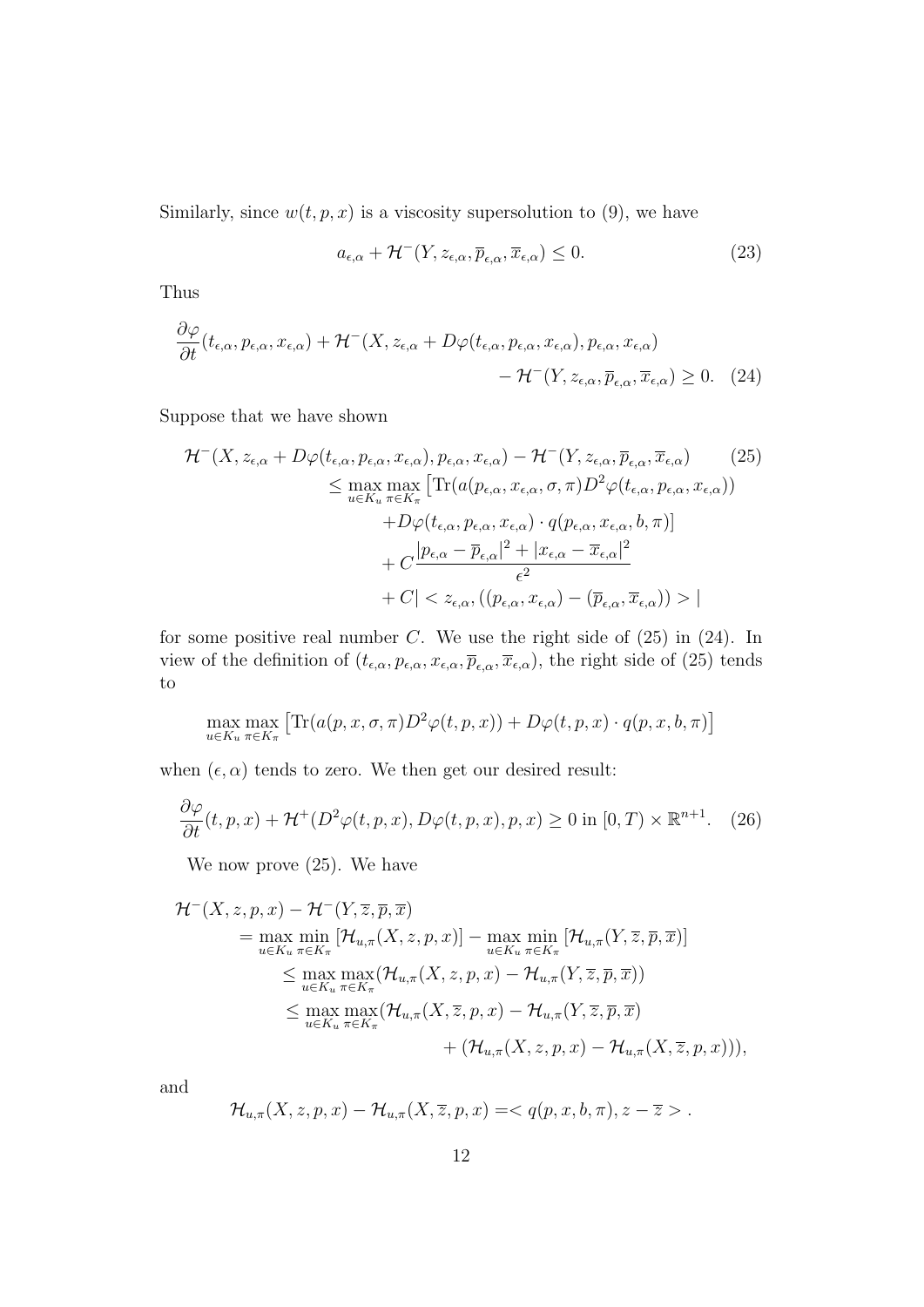Similarly, since  $w(t, p, x)$  is a viscosity supersolution to (9), we have

$$
a_{\epsilon,\alpha} + \mathcal{H}^-(Y, z_{\epsilon,\alpha}, \overline{p}_{\epsilon,\alpha}, \overline{x}_{\epsilon,\alpha}) \le 0.
$$
 (23)

Thus

$$
\frac{\partial \varphi}{\partial t}(t_{\epsilon,\alpha}, p_{\epsilon,\alpha}, x_{\epsilon,\alpha}) + \mathcal{H}^-(X, z_{\epsilon,\alpha} + D\varphi(t_{\epsilon,\alpha}, p_{\epsilon,\alpha}, x_{\epsilon,\alpha}), p_{\epsilon,\alpha}, x_{\epsilon,\alpha}) - \mathcal{H}^-(Y, z_{\epsilon,\alpha}, \overline{p}_{\epsilon,\alpha}, \overline{x}_{\epsilon,\alpha}) \ge 0. \tag{24}
$$

Suppose that we have shown

$$
\mathcal{H}^{-}(X, z_{\epsilon,\alpha} + D\varphi(t_{\epsilon,\alpha}, p_{\epsilon,\alpha}, x_{\epsilon,\alpha}), p_{\epsilon,\alpha}, x_{\epsilon,\alpha}) - \mathcal{H}^{-}(Y, z_{\epsilon,\alpha}, \overline{p}_{\epsilon,\alpha}, \overline{x}_{\epsilon,\alpha}) \qquad (25)
$$
\n
$$
\leq \max_{u \in K_u} \max_{\pi \in K_{\pi}} \left[ \text{Tr}(a(p_{\epsilon,\alpha}, x_{\epsilon,\alpha}, \sigma, \pi) D^{2} \varphi(t_{\epsilon,\alpha}, p_{\epsilon,\alpha}, x_{\epsilon,\alpha})) + D\varphi(t_{\epsilon,\alpha}, p_{\epsilon,\alpha}, x_{\epsilon,\alpha}) \cdot q(p_{\epsilon,\alpha}, x_{\epsilon,\alpha}, b, \pi) \right]
$$
\n
$$
+ C \frac{|p_{\epsilon,\alpha} - \overline{p}_{\epsilon,\alpha}|^{2} + |x_{\epsilon,\alpha} - \overline{x}_{\epsilon,\alpha}|^{2}}{\epsilon^{2}} + C| < z_{\epsilon,\alpha}, ((p_{\epsilon,\alpha}, x_{\epsilon,\alpha}) - (\overline{p}_{\epsilon,\alpha}, \overline{x}_{\epsilon,\alpha})) > |
$$

for some positive real number  $C$ . We use the right side of  $(25)$  in  $(24)$ . In view of the definition of  $(t_{\epsilon,\alpha}, p_{\epsilon,\alpha}, x_{\epsilon,\alpha}, \overline{p}_{\epsilon,\alpha}, \overline{x}_{\epsilon,\alpha})$ , the right side of (25) tends to

$$
\max_{u \in K_u} \max_{\pi \in K_{\pi}} \left[ \text{Tr}(a(p, x, \sigma, \pi) D^2 \varphi(t, p, x)) + D\varphi(t, p, x) \cdot q(p, x, b, \pi) \right]
$$

when  $(\epsilon, \alpha)$  tends to zero. We then get our desired result:

$$
\frac{\partial \varphi}{\partial t}(t, p, x) + \mathcal{H}^+(D^2 \varphi(t, p, x), D\varphi(t, p, x), p, x) \ge 0 \text{ in } [0, T) \times \mathbb{R}^{n+1}.
$$
 (26)

We now prove (25). We have

$$
\mathcal{H}^{-}(X, z, p, x) - \mathcal{H}^{-}(Y, \overline{z}, \overline{p}, \overline{x})
$$
\n
$$
= \max_{u \in K_u} \min_{\pi \in K_{\pi}} [\mathcal{H}_{u,\pi}(X, z, p, x)] - \max_{u \in K_u} \min_{\pi \in K_{\pi}} [\mathcal{H}_{u,\pi}(Y, \overline{z}, \overline{p}, \overline{x})]
$$
\n
$$
\leq \max_{u \in K_u} \max_{\pi \in K_{\pi}} (\mathcal{H}_{u,\pi}(X, z, p, x) - \mathcal{H}_{u,\pi}(Y, \overline{z}, \overline{p}, \overline{x}))
$$
\n
$$
\leq \max_{u \in K_u} \max_{\pi \in K_{\pi}} (\mathcal{H}_{u,\pi}(X, \overline{z}, p, x) - \mathcal{H}_{u,\pi}(Y, \overline{z}, \overline{p}, \overline{x})
$$
\n
$$
+ (\mathcal{H}_{u,\pi}(X, z, p, x) - \mathcal{H}_{u,\pi}(X, \overline{z}, p, x))),
$$

and

$$
\mathcal{H}_{u,\pi}(X,z,p,x)-\mathcal{H}_{u,\pi}(X,\overline{z},p,x)=.
$$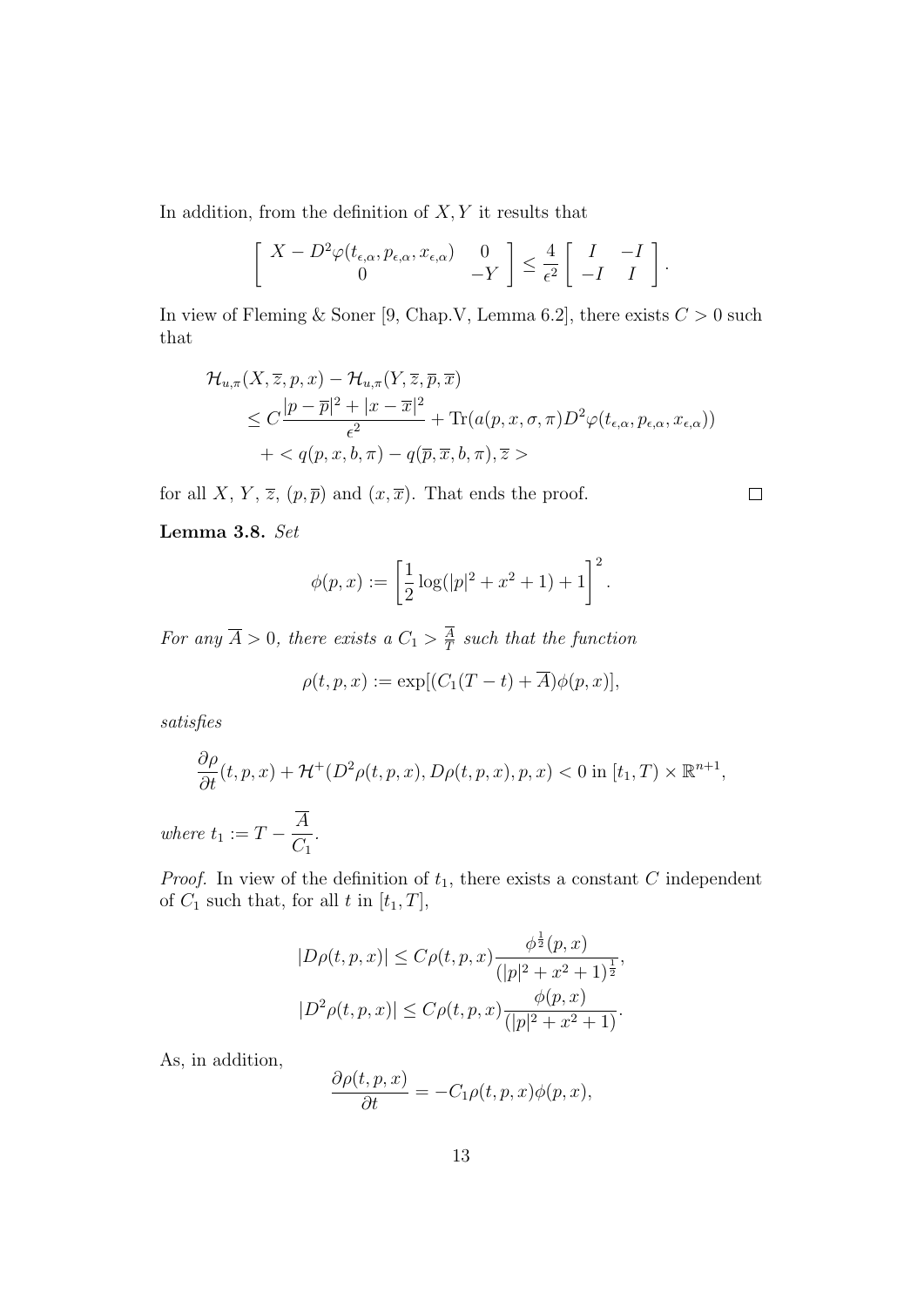In addition, from the definition of  $X, Y$  it results that

$$
\begin{bmatrix} X - D^2 \varphi(t_{\epsilon,\alpha}, p_{\epsilon,\alpha}, x_{\epsilon,\alpha}) & 0 \\ 0 & -Y \end{bmatrix} \leq \frac{4}{\epsilon^2} \begin{bmatrix} I & -I \\ -I & I \end{bmatrix}.
$$

In view of Fleming & Soner [9, Chap.V, Lemma 6.2], there exists  $C > 0$  such that

$$
\mathcal{H}_{u,\pi}(X,\overline{z},p,x) - \mathcal{H}_{u,\pi}(Y,\overline{z},\overline{p},\overline{x})
$$
  
\n
$$
\leq C \frac{|p-\overline{p}|^2 + |x-\overline{x}|^2}{\epsilon^2} + \text{Tr}(a(p,x,\sigma,\pi)D^2\varphi(t_{\epsilon,\alpha},p_{\epsilon,\alpha},x_{\epsilon,\alpha}))
$$
  
\n
$$
+ < q(p,x,b,\pi) - q(\overline{p},\overline{x},b,\pi), \overline{z} >
$$

for all X, Y,  $\overline{z}$ ,  $(p, \overline{p})$  and  $(x, \overline{x})$ . That ends the proof.

Lemma 3.8. Set

$$
\phi(p,x) := \left[\frac{1}{2}\log(|p|^2 + x^2 + 1) + 1\right]^2.
$$

For any  $\overline{A} > 0$ , there exists a  $C_1 > \frac{A}{T}$  $\frac{A}{T}$  such that the function

$$
\rho(t, p, x) := \exp[(C_1(T - t) + \overline{A})\phi(p, x)],
$$

satisfies

$$
\frac{\partial \rho}{\partial t}(t, p, x) + \mathcal{H}^+(D^2 \rho(t, p, x), D \rho(t, p, x), p, x) < 0 \text{ in } [t_1, T) \times \mathbb{R}^{n+1},
$$
\n
$$
\overline{A}
$$

where  $t_1 := T - \frac{A}{C}$  $C_1$ .

*Proof.* In view of the definition of  $t_1$ , there exists a constant C independent of  $C_1$  such that, for all  $t$  in  $[t_1, T]$ ,

$$
|D\rho(t, p, x)| \le C\rho(t, p, x) \frac{\phi^{\frac{1}{2}}(p, x)}{(|p|^2 + x^2 + 1)^{\frac{1}{2}}},
$$
  

$$
|D^2\rho(t, p, x)| \le C\rho(t, p, x) \frac{\phi(p, x)}{(|p|^2 + x^2 + 1)}.
$$

As, in addition,

$$
\frac{\partial \rho(t, p, x)}{\partial t} = -C_1 \rho(t, p, x) \phi(p, x),
$$

 $\Box$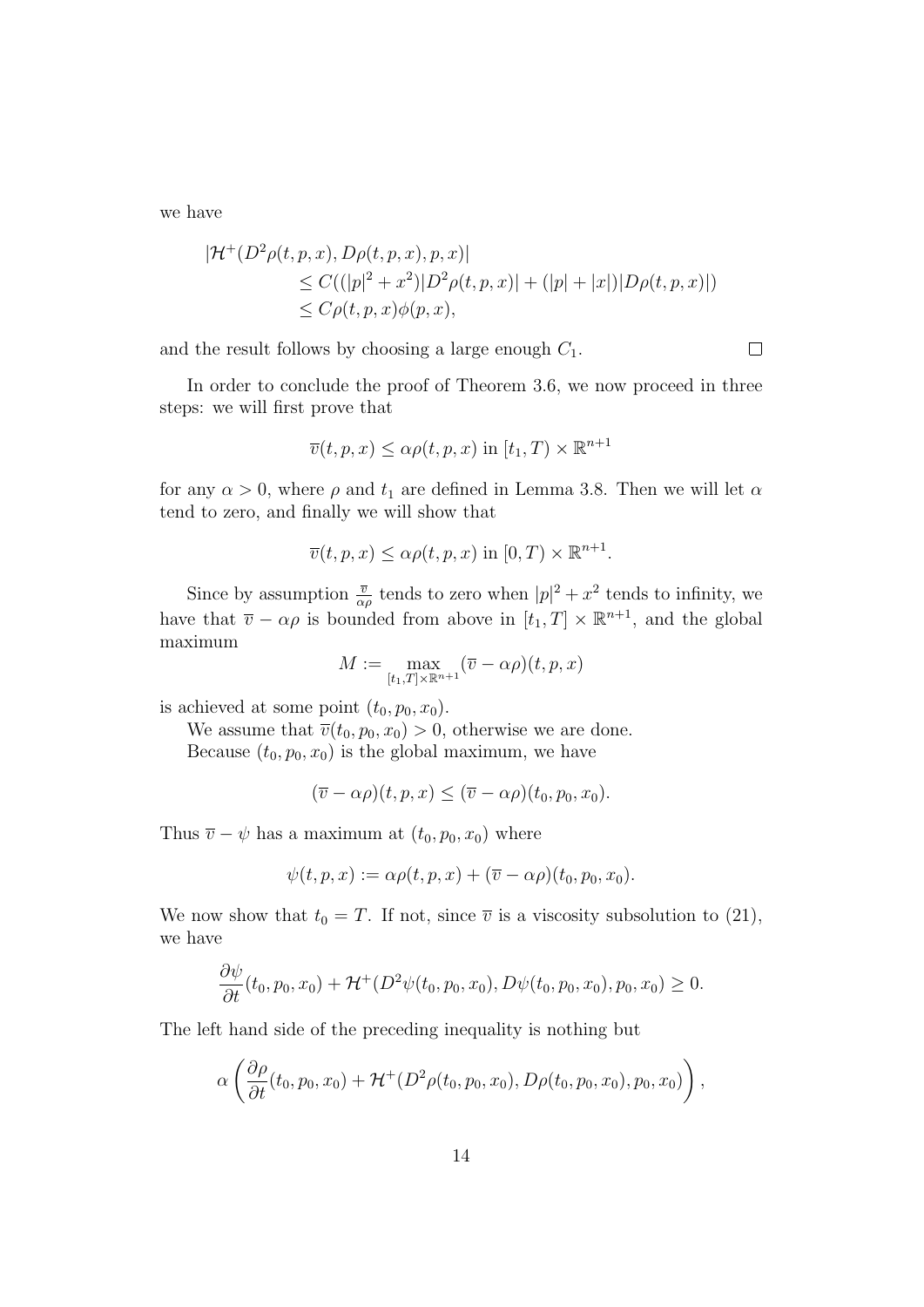we have

$$
|\mathcal{H}^+(D^2\rho(t,p,x), D\rho(t,p,x), p, x)|
$$
  
\n
$$
\leq C((|p|^2 + x^2)|D^2\rho(t,p,x)| + (|p|+|x|)|D\rho(t,p,x)|)
$$
  
\n
$$
\leq C\rho(t,p,x)\phi(p,x),
$$

and the result follows by choosing a large enough  $C_1$ .

 $\Box$ 

In order to conclude the proof of Theorem 3.6, we now proceed in three steps: we will first prove that

$$
\overline{v}(t, p, x) \le \alpha \rho(t, p, x) \text{ in } [t_1, T) \times \mathbb{R}^{n+1}
$$

for any  $\alpha > 0$ , where  $\rho$  and  $t_1$  are defined in Lemma 3.8. Then we will let  $\alpha$ tend to zero, and finally we will show that

$$
\overline{v}(t, p, x) \le \alpha \rho(t, p, x) \text{ in } [0, T) \times \mathbb{R}^{n+1}.
$$

Since by assumption  $\frac{\overline{v}}{\alpha \rho}$  tends to zero when  $|p|^2 + x^2$  tends to infinity, we have that  $\overline{v} - \alpha \rho$  is bounded from above in  $[t_1, T] \times \mathbb{R}^{n+1}$ , and the global maximum

$$
M := \max_{[t_1, T] \times \mathbb{R}^{n+1}} (\overline{v} - \alpha \rho)(t, p, x)
$$

is achieved at some point  $(t_0, p_0, x_0)$ .

We assume that  $\overline{v}(t_0, p_0, x_0) > 0$ , otherwise we are done. Because  $(t_0, p_0, x_0)$  is the global maximum, we have

 $(\overline{v} - \alpha \rho)(t, p, x) \leq (\overline{v} - \alpha \rho)(t_0, p_0, x_0).$ 

Thus  $\overline{v} - \psi$  has a maximum at  $(t_0, p_0, x_0)$  where

$$
\psi(t,p,x):=\alpha\rho(t,p,x)+(\overline{v}-\alpha\rho)(t_0,p_0,x_0).
$$

We now show that  $t_0 = T$ . If not, since  $\overline{v}$  is a viscosity subsolution to (21), we have

$$
\frac{\partial \psi}{\partial t}(t_0, p_0, x_0) + \mathcal{H}^+(D^2 \psi(t_0, p_0, x_0), D\psi(t_0, p_0, x_0), p_0, x_0) \ge 0.
$$

The left hand side of the preceding inequality is nothing but

$$
\alpha\left(\frac{\partial\rho}{\partial t}(t_0,p_0,x_0)+\mathcal{H}^+(D^2\rho(t_0,p_0,x_0),D\rho(t_0,p_0,x_0),p_0,x_0)\right),\,
$$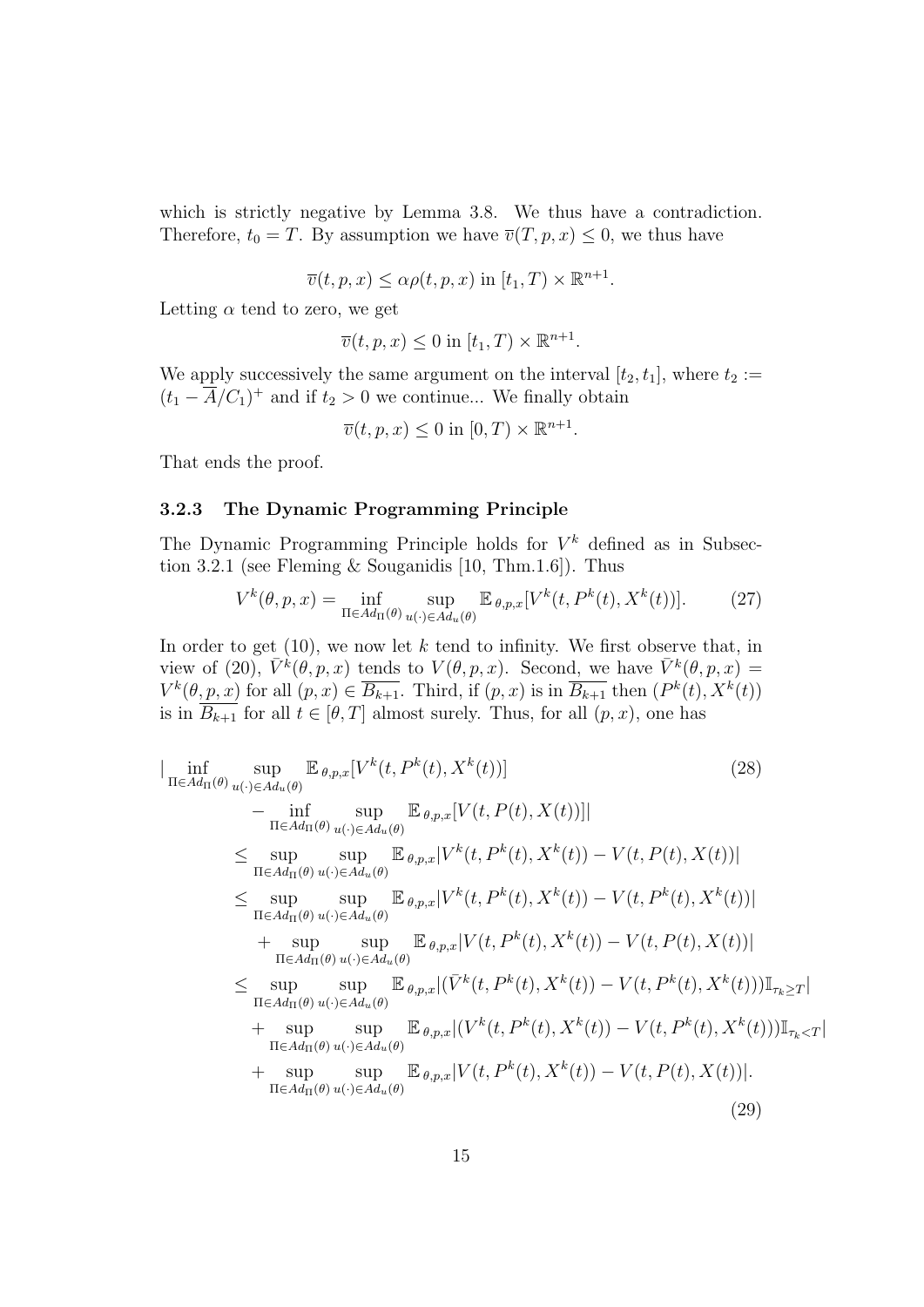which is strictly negative by Lemma 3.8. We thus have a contradiction. Therefore,  $t_0 = T$ . By assumption we have  $\overline{v}(T, p, x) \leq 0$ , we thus have

 $\overline{v}(t, p, x) \leq \alpha \rho(t, p, x)$  in  $[t_1, T) \times \mathbb{R}^{n+1}$ .

Letting  $\alpha$  tend to zero, we get

$$
\overline{v}(t, p, x) \le 0 \text{ in } [t_1, T) \times \mathbb{R}^{n+1}.
$$

We apply successively the same argument on the interval  $[t_2, t_1]$ , where  $t_2 :=$  $(t_1 - \overline{A}/C_1)^+$  and if  $t_2 > 0$  we continue... We finally obtain

$$
\overline{v}(t, p, x) \le 0 \text{ in } [0, T) \times \mathbb{R}^{n+1}
$$

That ends the proof.

#### 3.2.3 The Dynamic Programming Principle

The Dynamic Programming Principle holds for  $V^k$  defined as in Subsection 3.2.1 (see Fleming & Souganidis  $[10, Thm.1.6]$ ). Thus

$$
V^k(\theta, p, x) = \inf_{\Pi \in Ad_{\Pi}(\theta)} \sup_{u(\cdot) \in Ad_u(\theta)} \mathbb{E}_{\theta, p, x}[V^k(t, P^k(t), X^k(t))].
$$
 (27)

.

In order to get  $(10)$ , we now let k tend to infinity. We first observe that, in view of (20),  $\bar{V}^k(\theta, p, x)$  tends to  $V(\theta, p, x)$ . Second, we have  $\bar{V}^k(\theta, p, x)$  =  $V^k(\theta, p, x)$  for all  $(p, x) \in \overline{B_{k+1}}$ . Third, if  $(p, x)$  is in  $\overline{B_{k+1}}$  then  $(P^k(t), X^k(t))$ is in  $\overline{B_{k+1}}$  for all  $t \in [\theta, T]$  almost surely. Thus, for all  $(p, x)$ , one has

$$
\begin{split}\n&\lim_{\Pi \in Ad_{\Pi}(\theta)} \sup_{u(\cdot) \in Ad_{u}(\theta)} \mathbb{E}_{\theta,p,x}[V^{k}(t,P^{k}(t),X^{k}(t))] &\tag{28} \\
&\quad - \inf_{\Pi \in Ad_{\Pi}(\theta)} \sup_{u(\cdot) \in Ad_{u}(\theta)} \mathbb{E}_{\theta,p,x}[V(t,P(t),X(t))]] \\
&\leq \sup_{\Pi \in Ad_{\Pi}(\theta)} \sup_{u(\cdot) \in Ad_{u}(\theta)} \mathbb{E}_{\theta,p,x}[V^{k}(t,P^{k}(t),X^{k}(t)) - V(t,P(t),X(t))] \\
&\leq \sup_{\Pi \in Ad_{\Pi}(\theta)} \sup_{u(\cdot) \in Ad_{u}(\theta)} \mathbb{E}_{\theta,p,x}[V^{k}(t,P^{k}(t),X^{k}(t)) - V(t,P^{k}(t),X^{k}(t))] \\
&\quad + \sup_{\Pi \in Ad_{\Pi}(\theta)} \sup_{u(\cdot) \in Ad_{u}(\theta)} \mathbb{E}_{\theta,p,x}[V(t,P^{k}(t),X^{k}(t)) - V(t,P(t),X(t))] \\
&\leq \sup_{\Pi \in Ad_{\Pi}(\theta)} \sup_{u(\cdot) \in Ad_{u}(\theta)} \mathbb{E}_{\theta,p,x}[ (\bar{V}^{k}(t,P^{k}(t),X^{k}(t)) - V(t,P^{k}(t),X^{k}(t)))]\mathbb{I}_{\tau_{k}} \geq r] \\
&\quad + \sup_{\Pi \in Ad_{\Pi}(\theta)} \sup_{u(\cdot) \in Ad_{u}(\theta)} \mathbb{E}_{\theta,p,x}[ (V^{k}(t,P^{k}(t),X^{k}(t)) - V(t,P^{k}(t),X^{k}(t)))]\mathbb{I}_{\tau_{k}} \leq r] \\
&\quad + \sup_{\Pi \in Ad_{\Pi}(\theta)} \sup_{u(\cdot) \in Ad_{u}(\theta)} \mathbb{E}_{\theta,p,x}[V(t,P^{k}(t),X^{k}(t)) - V(t,P(t),X(t))].\n\end{split}
$$
\n(29)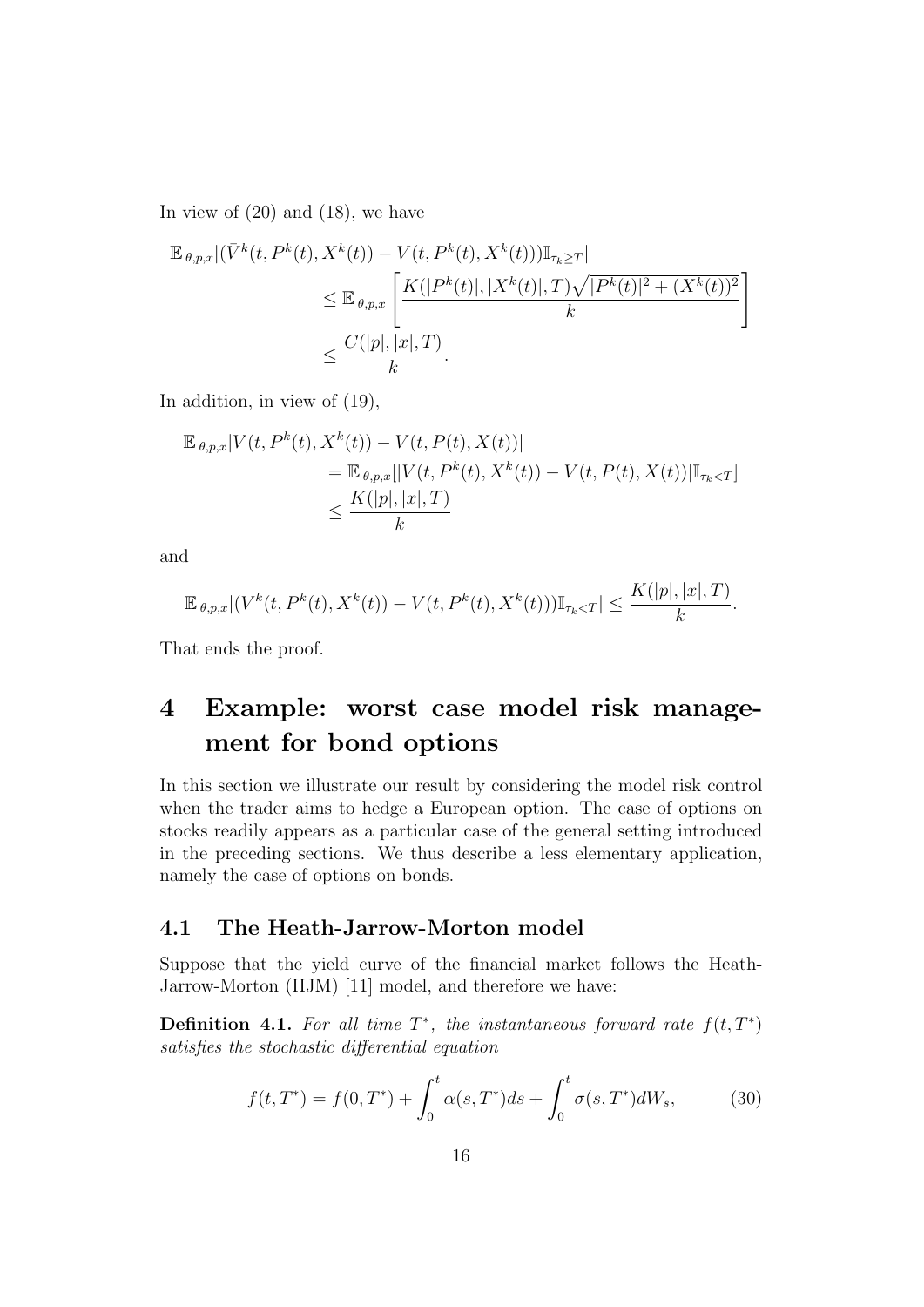In view of  $(20)$  and  $(18)$ , we have

$$
\mathbb{E}_{\theta,p,x} | (\bar{V}^k(t, P^k(t), X^k(t)) - V(t, P^k(t), X^k(t))) \mathbb{I}_{\tau_k \ge T} |
$$
\n
$$
\le \mathbb{E}_{\theta,p,x} \left[ \frac{K(|P^k(t)|, |X^k(t)|, T)\sqrt{|P^k(t)|^2 + (X^k(t))^2}}{k} \right]
$$
\n
$$
\le \frac{C(|p|, |x|, T)}{k}.
$$

In addition, in view of (19),

$$
\mathbb{E}_{\theta,p,x}|V(t,P^{k}(t),X^{k}(t))-V(t,P(t),X(t))|
$$
  
=  $\mathbb{E}_{\theta,p,x}[|V(t,P^{k}(t),X^{k}(t))-V(t,P(t),X(t))|\mathbb{I}_{\tau_{k}  
 $\leq \frac{K(|p|,|x|,T)}{k}$$ 

and

$$
\mathbb{E}_{\theta,p,x}|(V^k(t,P^k(t),X^k(t))-V(t,P^k(t),X^k(t)))\mathbb{I}_{\tau_k
$$

That ends the proof.

# 4 Example: worst case model risk management for bond options

In this section we illustrate our result by considering the model risk control when the trader aims to hedge a European option. The case of options on stocks readily appears as a particular case of the general setting introduced in the preceding sections. We thus describe a less elementary application, namely the case of options on bonds.

### 4.1 The Heath-Jarrow-Morton model

Suppose that the yield curve of the financial market follows the Heath-Jarrow-Morton (HJM) [11] model, and therefore we have:

**Definition 4.1.** For all time  $T^*$ , the instantaneous forward rate  $f(t, T^*)$ satisfies the stochastic differential equation

$$
f(t,T^*) = f(0,T^*) + \int_0^t \alpha(s,T^*)ds + \int_0^t \sigma(s,T^*)dW_s, \tag{30}
$$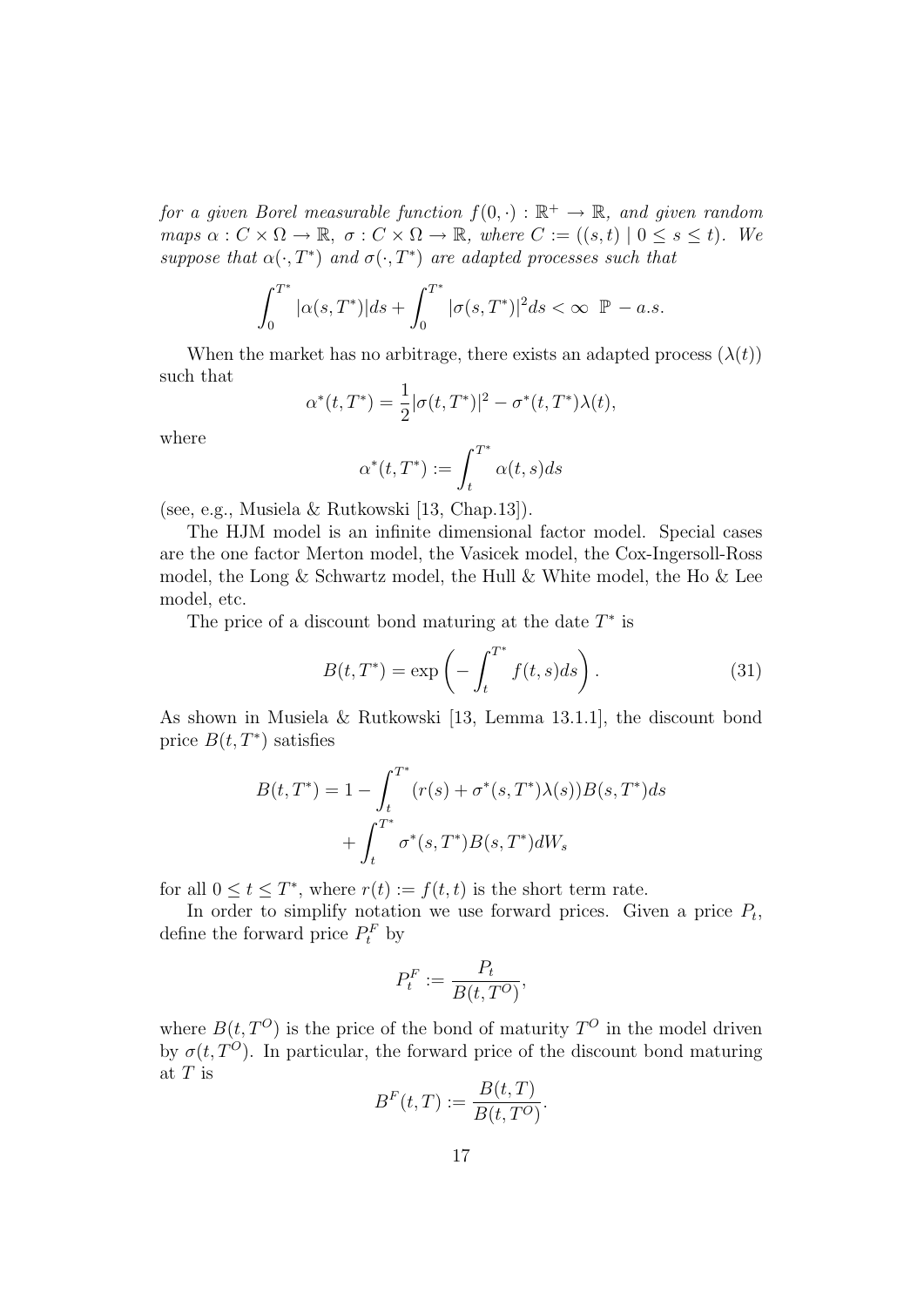for a given Borel measurable function  $f(0, \cdot) : \mathbb{R}^+ \to \mathbb{R}$ , and given random maps  $\alpha: C \times \Omega \to \mathbb{R}$ ,  $\sigma: C \times \Omega \to \mathbb{R}$ , where  $C := ((s, t) \mid 0 \leq s \leq t)$ . We suppose that  $\alpha(\cdot,T^*)$  and  $\sigma(\cdot,T^*)$  are adapted processes such that

$$
\int_0^{T^*} |\alpha(s, T^*)| ds + \int_0^{T^*} |\sigma(s, T^*)|^2 ds < \infty \ \ \mathbb{P} - a.s.
$$

When the market has no arbitrage, there exists an adapted process  $(\lambda(t))$ such that

$$
\alpha^*(t, T^*) = \frac{1}{2} |\sigma(t, T^*)|^2 - \sigma^*(t, T^*) \lambda(t),
$$

where

$$
\alpha^*(t,T^*):=\int_t^{T^*}\alpha(t,s)ds
$$

(see, e.g., Musiela & Rutkowski [13, Chap.13]).

The HJM model is an infinite dimensional factor model. Special cases are the one factor Merton model, the Vasicek model, the Cox-Ingersoll-Ross model, the Long  $\&$  Schwartz model, the Hull  $\&$  White model, the Ho  $\&$  Lee model, etc.

The price of a discount bond maturing at the date  $T^*$  is

$$
B(t, T^*) = \exp\left(-\int_t^{T^*} f(t, s)ds\right). \tag{31}
$$

As shown in Musiela & Rutkowski [13, Lemma 13.1.1], the discount bond price  $B(t, T^*)$  satisfies

$$
B(t, T^*) = 1 - \int_t^{T^*} (r(s) + \sigma^*(s, T^*)\lambda(s))B(s, T^*)ds + \int_t^{T^*} \sigma^*(s, T^*)B(s, T^*)dW_s
$$

for all  $0 \le t \le T^*$ , where  $r(t) := f(t, t)$  is the short term rate.

In order to simplify notation we use forward prices. Given a price  $P_t$ , define the forward price  $P_t^F$  by

$$
P_t^F := \frac{P_t}{B(t, T^O)},
$$

where  $B(t, T^{O})$  is the price of the bond of maturity  $T^{O}$  in the model driven by  $\sigma(t, T^O)$ . In particular, the forward price of the discount bond maturing at  ${\cal T}$  is

$$
BF(t,T) := \frac{B(t,T)}{B(t,T^O)}.
$$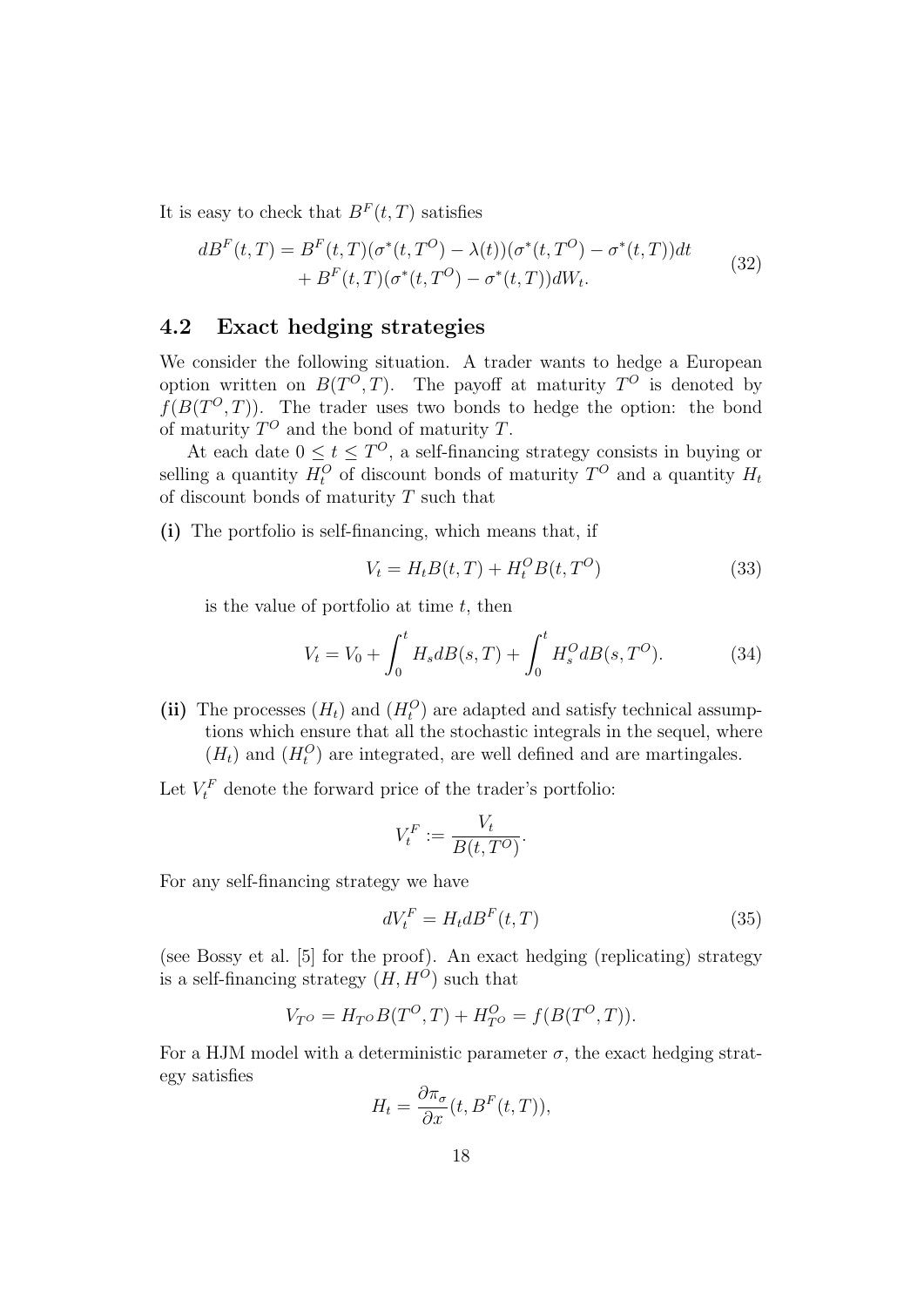It is easy to check that  $B<sup>F</sup>(t, T)$  satisfies

$$
dBF(t,T) = BF(t,T)(\sigma^*(t,T^O) - \lambda(t))(\sigma^*(t,T^O) - \sigma^*(t,T))dt
$$
  
+ B<sup>F</sup>(t,T)(\sigma^\*(t,T^O) - \sigma^\*(t,T))dW<sub>t</sub>. (32)

### 4.2 Exact hedging strategies

We consider the following situation. A trader wants to hedge a European option written on  $B(T^O, T)$ . The payoff at maturity  $T^O$  is denoted by  $f(B(T^O, T))$ . The trader uses two bonds to hedge the option: the bond of maturity  $T^O$  and the bond of maturity T.

At each date  $0 \le t \le T^O$ , a self-financing strategy consists in buying or selling a quantity  $H_t^O$  of discount bonds of maturity  $T^O$  and a quantity  $H_t$ of discount bonds of maturity  $T$  such that

(i) The portfolio is self-financing, which means that, if

$$
V_t = H_t B(t, T) + H_t^O B(t, T^O)
$$
\n
$$
(33)
$$

is the value of portfolio at time  $t$ , then

$$
V_t = V_0 + \int_0^t H_s dB(s, T) + \int_0^t H_s^O dB(s, T^O). \tag{34}
$$

- (ii) The processes  $(H_t)$  and  $(H_t^O)$  are adapted and satisfy technical assumptions which ensure that all the stochastic integrals in the sequel, where  $(H_t)$  and  $(H_t^O)$  are integrated, are well defined and are martingales.
- Let  $V_t^F$  denote the forward price of the trader's portfolio:

$$
V_t^F := \frac{V_t}{B(t, T^O)}.
$$

For any self-financing strategy we have

$$
dV_t^F = H_t dB^F(t, T) \tag{35}
$$

(see Bossy et al. [5] for the proof). An exact hedging (replicating) strategy is a self-financing strategy  $(H, H^O)$  such that

$$
V_{T^O} = H_{T^O} B(T^O, T) + H_{T^O}^O = f(B(T^O, T)).
$$

For a HJM model with a deterministic parameter  $\sigma$ , the exact hedging strategy satisfies

$$
H_t = \frac{\partial \pi_{\sigma}}{\partial x}(t, B^F(t, T)),
$$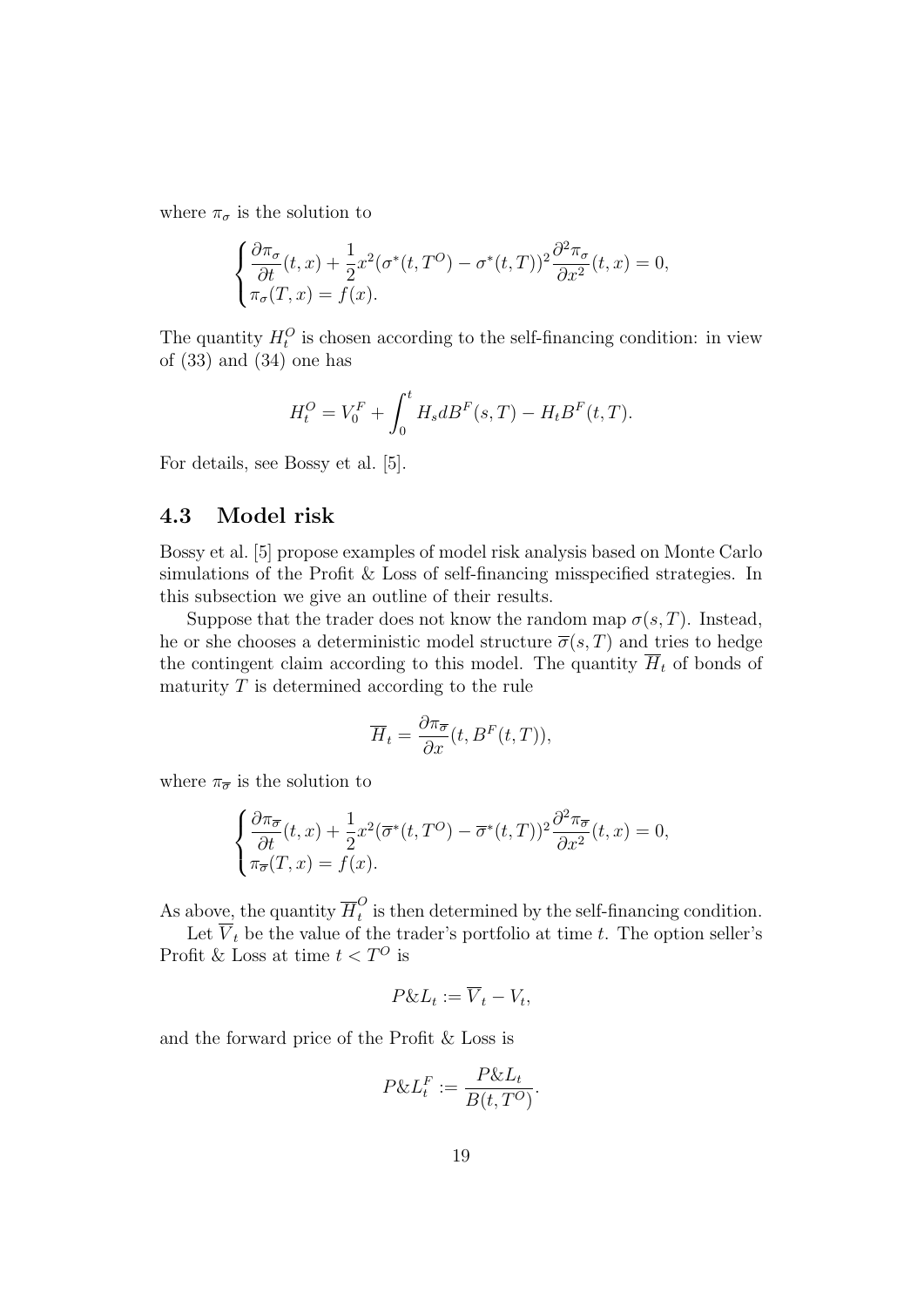where  $\pi_{\sigma}$  is the solution to

$$
\begin{cases} \frac{\partial \pi_{\sigma}}{\partial t}(t,x) + \frac{1}{2}x^2(\sigma^*(t,T^O) - \sigma^*(t,T))^2 \frac{\partial^2 \pi_{\sigma}}{\partial x^2}(t,x) = 0, \\ \pi_{\sigma}(T,x) = f(x). \end{cases}
$$

The quantity  $H_t^O$  is chosen according to the self-financing condition: in view of  $(33)$  and  $(34)$  one has

$$
H_t^O = V_0^F + \int_0^t H_s dB^F(s, T) - H_t B^F(t, T).
$$

For details, see Bossy et al. [5].

### 4.3 Model risk

Bossy et al. [5] propose examples of model risk analysis based on Monte Carlo simulations of the Profit & Loss of self-financing misspecified strategies. In this subsection we give an outline of their results.

Suppose that the trader does not know the random map  $\sigma(s,T)$ . Instead, he or she chooses a deterministic model structure  $\overline{\sigma}(s,T)$  and tries to hedge the contingent claim according to this model. The quantity  $\overline{H}_t$  of bonds of maturity  $T$  is determined according to the rule

$$
\overline{H}_t = \frac{\partial \pi_{\overline{\sigma}}}{\partial x}(t, B^F(t, T)),
$$

where  $\pi_{\overline{\sigma}}$  is the solution to

$$
\begin{cases} \frac{\partial \pi_{\overline{\sigma}}}{\partial t}(t,x) + \frac{1}{2}x^2(\overline{\sigma}^*(t,T^O) - \overline{\sigma}^*(t,T))^2 \frac{\partial^2 \pi_{\overline{\sigma}}}{\partial x^2}(t,x) = 0, \\ \pi_{\overline{\sigma}}(T,x) = f(x). \end{cases}
$$

As above, the quantity  $\overline{H}_t^O$  $\tilde{t}$  is then determined by the self-financing condition.

Let  $V_t$  be the value of the trader's portfolio at time t. The option seller's Profit & Loss at time  $t < T^O$  is

$$
P\&L_t := \overline{V}_t - V_t,
$$

and the forward price of the Profit & Loss is

$$
P\&L_t^F := \frac{P\&L_t}{B(t,T^O)}.
$$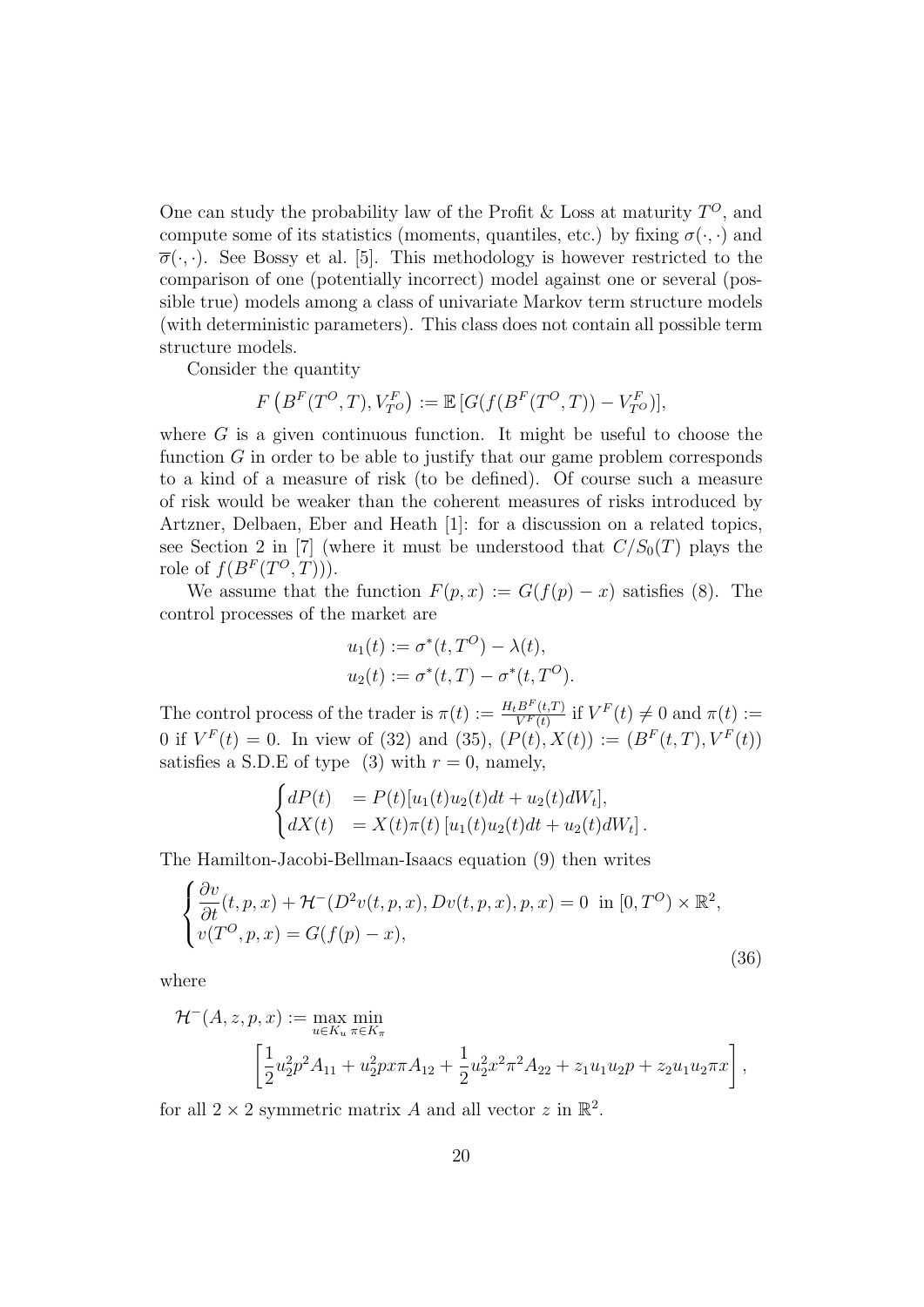One can study the probability law of the Profit & Loss at maturity  $T^{O}$ , and compute some of its statistics (moments, quantiles, etc.) by fixing  $\sigma(\cdot, \cdot)$  and  $\overline{\sigma}(\cdot,\cdot)$ . See Bossy et al. [5]. This methodology is however restricted to the comparison of one (potentially incorrect) model against one or several (possible true) models among a class of univariate Markov term structure models (with deterministic parameters). This class does not contain all possible term structure models.

Consider the quantity

$$
F\left(B^F(T^O,T),V_{T^O}^F\right):=\mathbb{E}\left[G(f(B^F(T^O,T))-V_{T^O}^F)\right],
$$

where  $G$  is a given continuous function. It might be useful to choose the function G in order to be able to justify that our game problem corresponds to a kind of a measure of risk (to be defined). Of course such a measure of risk would be weaker than the coherent measures of risks introduced by Artzner, Delbaen, Eber and Heath [1]: for a discussion on a related topics, see Section 2 in [7] (where it must be understood that  $C/S_0(T)$  plays the role of  $f(B^F(T^O,T)))$ .

We assume that the function  $F(p, x) := G(f(p) - x)$  satisfies (8). The control processes of the market are

$$
u_1(t) := \sigma^*(t, T^O) - \lambda(t), u_2(t) := \sigma^*(t, T) - \sigma^*(t, T^O).
$$

The control process of the trader is  $\pi(t) := \frac{H_t B^F(t,T)}{V^F(t)}$  if  $V^F(t) \neq 0$  and  $\pi(t) :=$ 0 if  $V^F(t) = 0$ . In view of (32) and (35),  $(P(t), X(t)) := (B^F(t, T), V^F(t))$ satisfies a S.D.E of type (3) with  $r = 0$ , namely,

$$
\begin{cases}\ndP(t) &= P(t)[u_1(t)u_2(t)dt + u_2(t)dW_t], \\
dX(t) &= X(t)\pi(t)[u_1(t)u_2(t)dt + u_2(t)dW_t].\n\end{cases}
$$

The Hamilton-Jacobi-Bellman-Isaacs equation (9) then writes

$$
\begin{cases} \frac{\partial v}{\partial t}(t, p, x) + \mathcal{H}^-(D^2v(t, p, x), Dv(t, p, x), p, x) = 0 \text{ in } [0, T^O) \times \mathbb{R}^2, \\ v(T^O, p, x) = G(f(p) - x), \end{cases}
$$
\n(36)

where

$$
\mathcal{H}^{-}(A, z, p, x) := \max_{u \in K_u} \min_{\pi \in K_{\pi}} \left[ \frac{1}{2} u_2^2 p^2 A_{11} + u_2^2 p x \pi A_{12} + \frac{1}{2} u_2^2 x^2 \pi^2 A_{22} + z_1 u_1 u_2 p + z_2 u_1 u_2 \pi x \right],
$$

for all  $2 \times 2$  symmetric matrix A and all vector z in  $\mathbb{R}^2$ .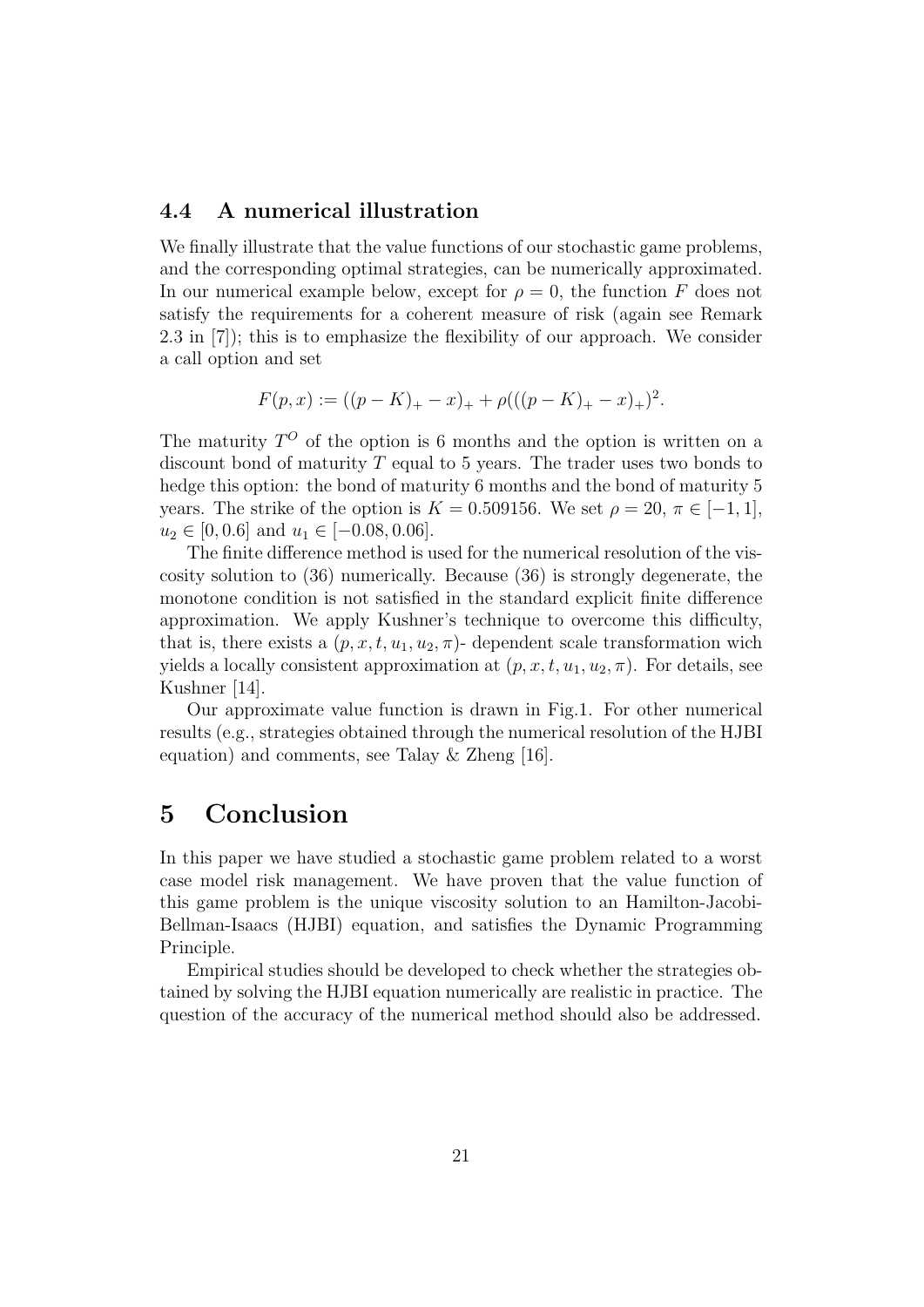### 4.4 A numerical illustration

We finally illustrate that the value functions of our stochastic game problems, and the corresponding optimal strategies, can be numerically approximated. In our numerical example below, except for  $\rho = 0$ , the function F does not satisfy the requirements for a coherent measure of risk (again see Remark 2.3 in [7]); this is to emphasize the flexibility of our approach. We consider a call option and set

$$
F(p, x) := ((p - K)_{+} - x)_{+} + \rho (((p - K)_{+} - x)_{+})^{2}.
$$

The maturity  $T^{O}$  of the option is 6 months and the option is written on a discount bond of maturity  $T$  equal to 5 years. The trader uses two bonds to hedge this option: the bond of maturity 6 months and the bond of maturity 5 years. The strike of the option is  $K = 0.509156$ . We set  $\rho = 20, \pi \in [-1, 1]$ ,  $u_2 \in [0, 0.6]$  and  $u_1 \in [-0.08, 0.06]$ .

The finite difference method is used for the numerical resolution of the viscosity solution to (36) numerically. Because (36) is strongly degenerate, the monotone condition is not satisfied in the standard explicit finite difference approximation. We apply Kushner's technique to overcome this difficulty, that is, there exists a  $(p, x, t, u_1, u_2, \pi)$ - dependent scale transformation wich yields a locally consistent approximation at  $(p, x, t, u_1, u_2, \pi)$ . For details, see Kushner [14].

Our approximate value function is drawn in Fig.1. For other numerical results (e.g., strategies obtained through the numerical resolution of the HJBI equation) and comments, see Talay & Zheng [16].

## 5 Conclusion

In this paper we have studied a stochastic game problem related to a worst case model risk management. We have proven that the value function of this game problem is the unique viscosity solution to an Hamilton-Jacobi-Bellman-Isaacs (HJBI) equation, and satisfies the Dynamic Programming Principle.

Empirical studies should be developed to check whether the strategies obtained by solving the HJBI equation numerically are realistic in practice. The question of the accuracy of the numerical method should also be addressed.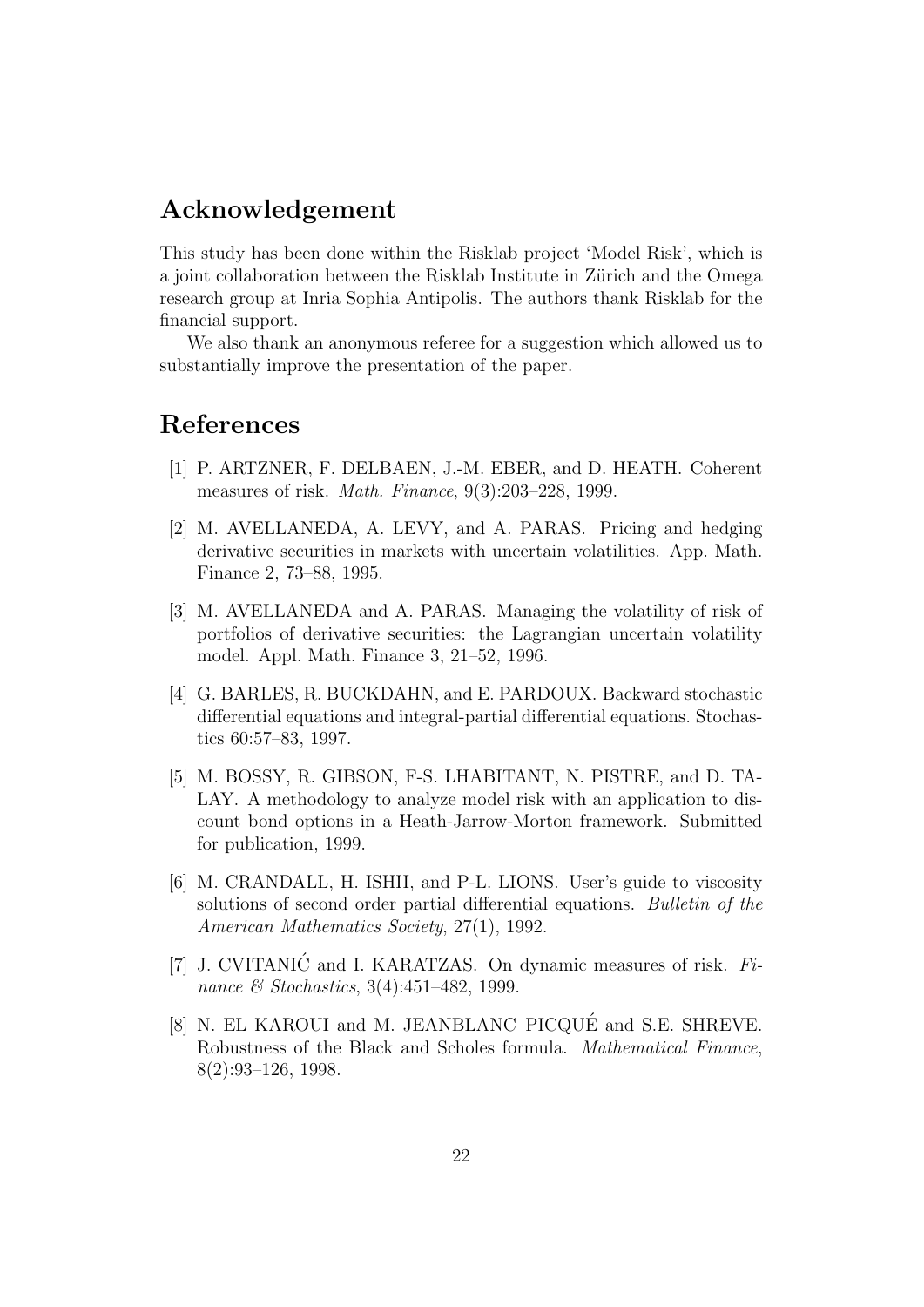# Acknowledgement

This study has been done within the Risklab project 'Model Risk', which is a joint collaboration between the Risklab Institute in Zürich and the Omega research group at Inria Sophia Antipolis. The authors thank Risklab for the financial support.

We also thank an anonymous referee for a suggestion which allowed us to substantially improve the presentation of the paper.

## References

- [1] P. ARTZNER, F. DELBAEN, J.-M. EBER, and D. HEATH. Coherent measures of risk. Math. Finance, 9(3):203–228, 1999.
- [2] M. AVELLANEDA, A. LEVY, and A. PARAS. Pricing and hedging derivative securities in markets with uncertain volatilities. App. Math. Finance 2, 73–88, 1995.
- [3] M. AVELLANEDA and A. PARAS. Managing the volatility of risk of portfolios of derivative securities: the Lagrangian uncertain volatility model. Appl. Math. Finance 3, 21–52, 1996.
- [4] G. BARLES, R. BUCKDAHN, and E. PARDOUX. Backward stochastic differential equations and integral-partial differential equations. Stochastics 60:57–83, 1997.
- [5] M. BOSSY, R. GIBSON, F-S. LHABITANT, N. PISTRE, and D. TA-LAY. A methodology to analyze model risk with an application to discount bond options in a Heath-Jarrow-Morton framework. Submitted for publication, 1999.
- [6] M. CRANDALL, H. ISHII, and P-L. LIONS. User's guide to viscosity solutions of second order partial differential equations. Bulletin of the American Mathematics Society, 27(1), 1992.
- [7] J. CVITANIĆ and I. KARATZAS. On dynamic measures of risk.  $Fi$ nance & Stochastics, 3(4):451-482, 1999.
- [8] N. EL KAROUI and M. JEANBLANC–PICQUÉ and S.E. SHREVE. Robustness of the Black and Scholes formula. Mathematical Finance, 8(2):93–126, 1998.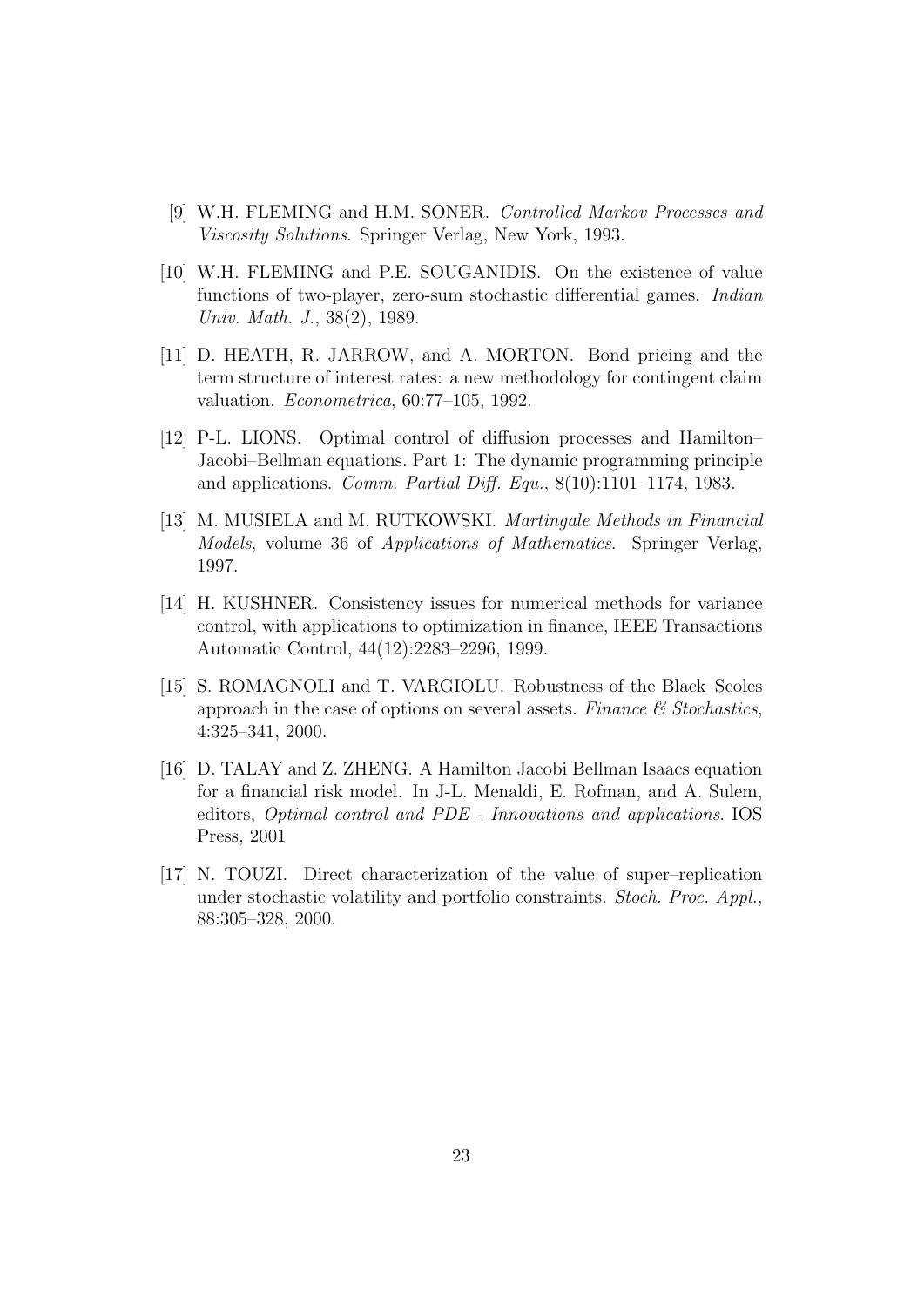- [9] W.H. FLEMING and H.M. SONER. Controlled Markov Processes and Viscosity Solutions. Springer Verlag, New York, 1993.
- [10] W.H. FLEMING and P.E. SOUGANIDIS. On the existence of value functions of two-player, zero-sum stochastic differential games. Indian Univ. Math. J., 38(2), 1989.
- [11] D. HEATH, R. JARROW, and A. MORTON. Bond pricing and the term structure of interest rates: a new methodology for contingent claim valuation. Econometrica, 60:77–105, 1992.
- [12] P-L. LIONS. Optimal control of diffusion processes and Hamilton– Jacobi–Bellman equations. Part 1: The dynamic programming principle and applications. Comm. Partial Diff. Equ., 8(10):1101–1174, 1983.
- [13] M. MUSIELA and M. RUTKOWSKI. Martingale Methods in Financial Models, volume 36 of Applications of Mathematics. Springer Verlag, 1997.
- [14] H. KUSHNER. Consistency issues for numerical methods for variance control, with applications to optimization in finance, IEEE Transactions Automatic Control, 44(12):2283–2296, 1999.
- [15] S. ROMAGNOLI and T. VARGIOLU. Robustness of the Black–Scoles approach in the case of options on several assets. Finance  $\mathcal C$  Stochastics, 4:325–341, 2000.
- [16] D. TALAY and Z. ZHENG. A Hamilton Jacobi Bellman Isaacs equation for a financial risk model. In J-L. Menaldi, E. Rofman, and A. Sulem, editors, Optimal control and PDE - Innovations and applications. IOS Press, 2001
- [17] N. TOUZI. Direct characterization of the value of super–replication under stochastic volatility and portfolio constraints. Stoch. Proc. Appl., 88:305–328, 2000.